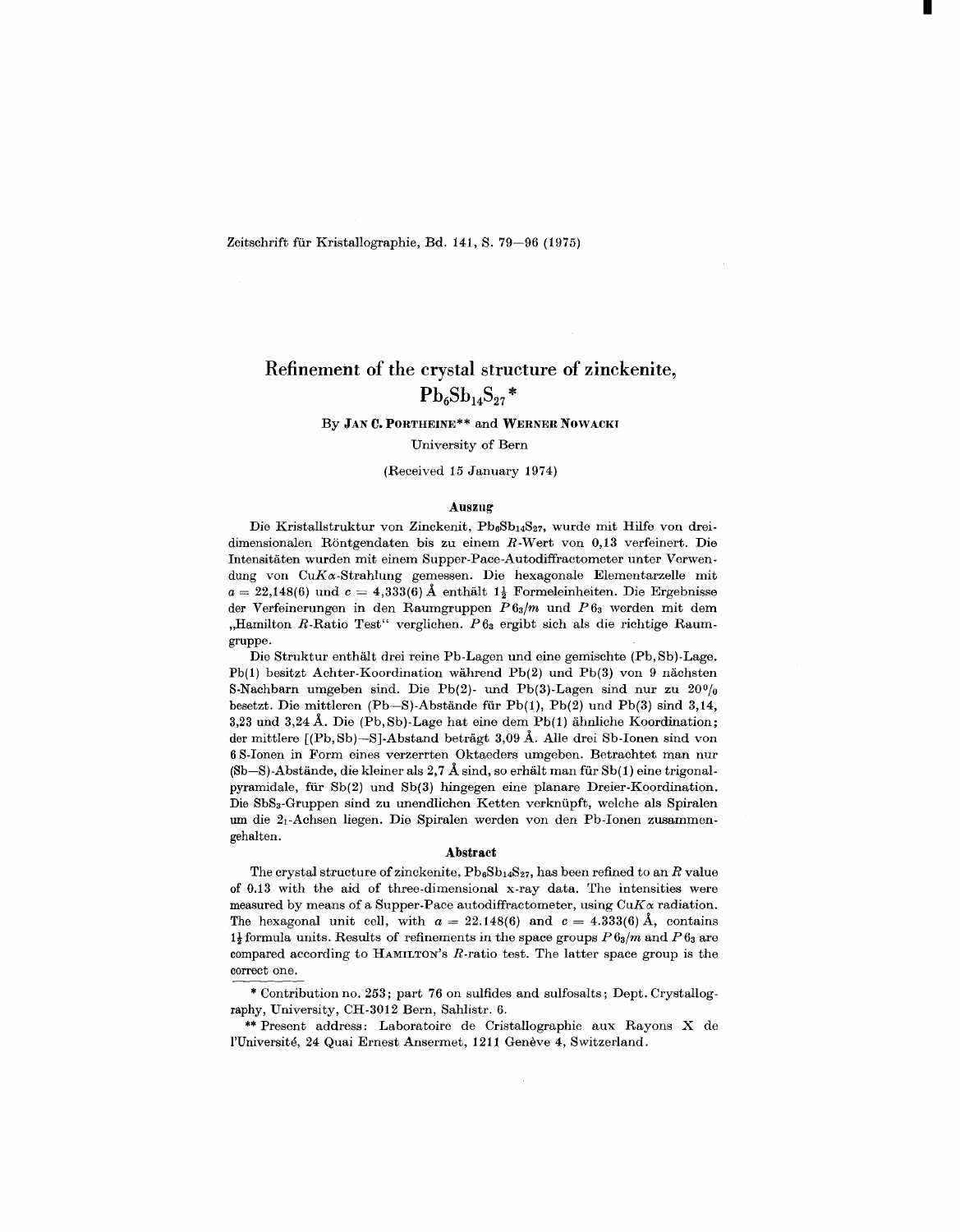Zeitschrift für Kristallographie, Bd. 141, S. 79-96 (1975)

# Refinement of the crystal structure of zinckenite,  $Pb_6Sb_{14}S_{27}$ \*

#### By JANC.PORTHEINE\*\* and WERNER NOWACKI

#### University of Bern

#### (Received 15 January 1974)

#### Auszug

Die Kristallstruktur von Zinckenit, Pb6Sb14S27, wurde mit Hilfe von dreidimensionalen Rontgendaten bis zu einem R-Wert von 0,13 verfeinert. Die lntensitaten wurden mit einem Supper-Pace-Autodiffractometer unter Verwendung von  $CuK\alpha$ -Strahlung gemessen. Die hexagonale Elementarzelle mit  $a = 22,148(6)$  und  $c = 4,333(6)$  Å enthält  $1\frac{1}{2}$  Formeleinheiten. Die Ergebniss der Verfeinerungen in den Raumgruppen *P 63/m* und *P* 63 werden mit dem "Hamilton R-Ratio Test" verglichen. P63 ergibt sich als die richtige Raumgruppe.

Die Struktur enthalt drei reine Pb-Lagen und eine gemischte (Pb,Sb)-Lage. Pb(1) besitzt Achter-Koordination wahrend Pb(2) und Pb(3) von 9 nachsten S-Nachbarn umgeben sind. Die Pb(2)- und Pb(3)-Lagen sind nur zu  $20\%$ besetzt. Die mittleren (Pb-S)-Abstände für Pb(1), Pb(2) und Pb(3) sind 3,14, 3,23 und 3,24 A. Die (Pb,Sb)-Lage hat eine dem Pb(1) ahnliche Koordination; der mittlere [(Pb,Sb)-S]-Abstand betragt 3,09 A. AIle drei Sb-lonen sind von 6 S-lonen in Form eines verzerrten Oktaeders umgeben. Betrachtet man nur (Sb-S)-Abstände, die kleiner als 2,7 Å sind, so erhält man für Sb(1) eine trigonalpyramidale, für  $Sb(2)$  und  $Sb(3)$  hingegen eine planare Dreier-Koordination. Die SbS3-Gruppen sind zu unendlichen Ketten verkniipft, welche als Spiralen urn die 21-Achsen liegen. Die Spiralen werden von den Pb-lonen zusammengehalten.

#### Abstract

The crystal structure of zinckenite,  $Pb_6Sb_{14}S_{27}$ , has been refined to an *R* value of 0.13 with the aid of three-dimensional x-ray data. The intensities were measured by means of a Supper-Pace autodiffractometer, using  $CuK\alpha$  radiation. The hexagonal unit cell, with  $a = 22.148(6)$  and  $c = 4.333(6)$  Å, conta  $1\frac{1}{2}$  formula units. Results of refinements in the space groups  $P6_3/m$  and  $P6_3$  are compared according to HAMILTON'S R-ratio test. The latter space group is the correct one.

raphy, University, CH-3012 Bern, Sahlistr. 6. Contribution no. 253; part 76 on sulfides and sulfosalts; Dept. Crystallog-

\*\* Present address: Laboratoire de CristaIlographie aux Rayons X de l'Université, 24 Quai Ernest Ansermet, 1211 Genève 4, Switzerland.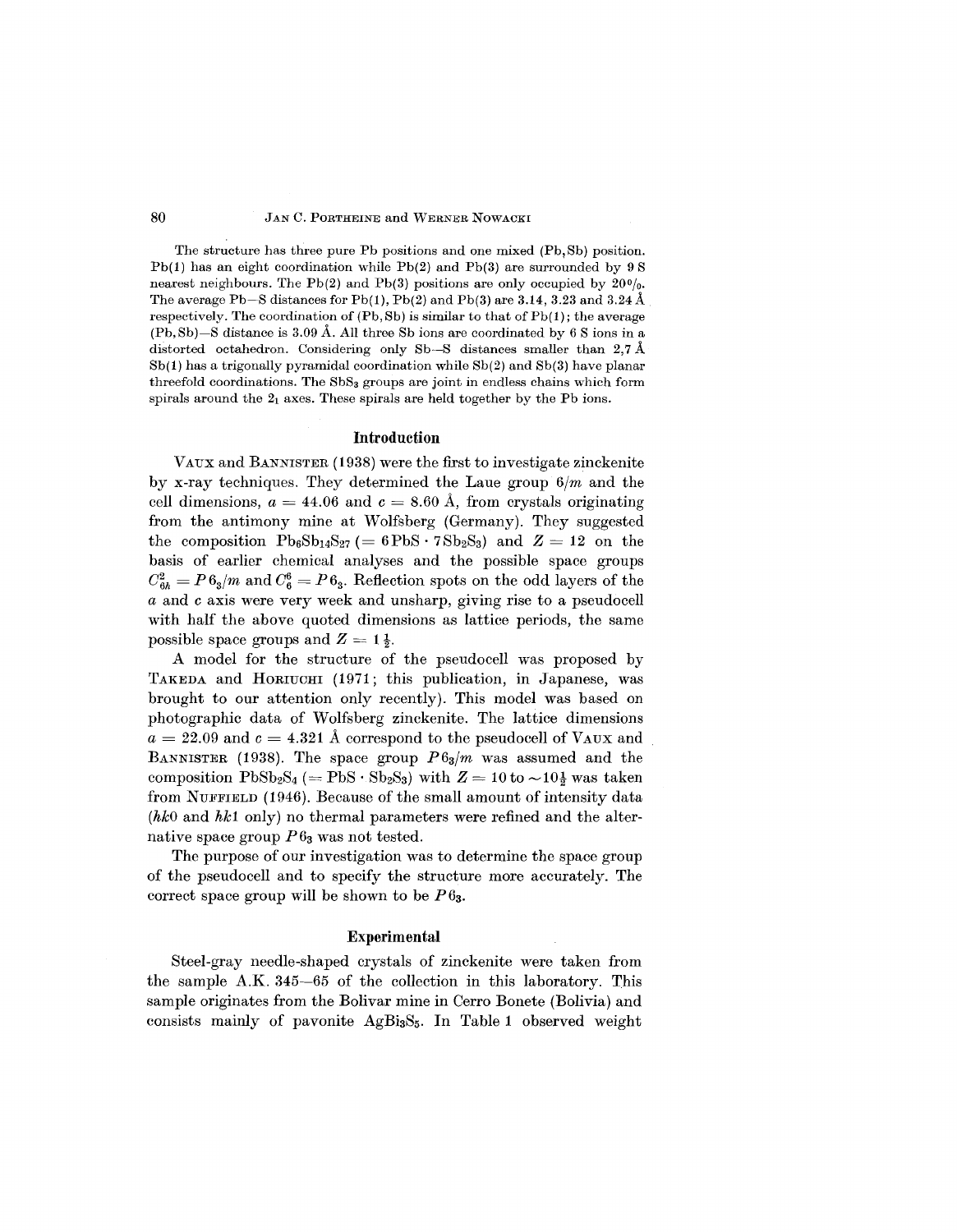#### 80 *JAN* C. PORTHEINE and WERNER NOWACKI

The structure has three pure Pb positions and one mixed (Pb, Sb) position.  $Pb(1)$  has an eight coordination while  $Pb(2)$  and  $Pb(3)$  are surrounded by 9.8 nearest neighbours. The Pb(2) and Pb(3) positions are only occupied by  $20\%$ . The average Pb-S distances for Pb(1), Pb(2) and Pb(3) are 3.14, 3.23 and 3.24 Å respectively. The coordination of  $(Pb, Sb)$  is similar to that of  $Pb(1)$ ; the average  $(Pb, Sb)$ —S distance is 3.09 Å. All three Sb ions are coordinated by 6 S ions in a distorted octahedron. Considering only Sb-S distances smaller than 2,7 Å 8b(1) has a trigonally pyramidal coordination while 8b(2) and 8b(3) have planar threefold coordinations. The  $SbS<sub>3</sub>$  groups are joint in endless chains which form spirals around the  $2<sub>1</sub>$  axes. These spirals are held together by the Pb ions.

#### **Introduction**

VAUXand BANNISTER (1938) were the first to investigate zinckenite by x-ray techniques. They determined the Laue group *6/m* and the  $\text{cell dimensions, } a = 44.06 \text{ and } c = 8.60 \text{ Å}, \text{ from crystals origin}$ from the antimony mine at Wolfsberg (Germany). They suggested the composition  $Pb_6Sb_{14}S_{27} (= 6PbS \cdot 7Sb_2S_3)$  and  $Z = 12$  on the basis of earlier chemical analyses and the possible space groups  $C_{6h}^2 = P 6_3/m$  and  $C_6^6 = P 6_3$ . Reflection spots on the odd layers of the *a* and *c* axis were very week and unsharp, giving rise to a pseudocell with half the above quoted dimensions as lattice periods, the same possible space groups and  $Z = 1\frac{1}{2}$ .

A model for the structure of the pseudocell was proposed by TAKEDA and HORIUCHI (1971; this publication, in Japanese, was brought to our attention only recently). This model was based on photographic data of Wolfsberg zinckenite. The lattice dimensions  $a = 22.09$  and  $c = 4.321$  Å correspond to the pseudocell of VAUX and BANNISTER (1938). The space group *P63/m* was assumed and the  $\text{composition PbSb}_2\text{S}_4 \ (= \text{PbS} \cdot \text{Sb}_2\text{S}_3) \text{ with } Z = 10 \text{ to } \sim 10\frac{1}{2} \text{ was take.}$ from NUFFIELD (1946). Because of the small amount of intensity data *(hkO* and *hk1* only) no thermal parameters were refined and the alternative space group *P63* was not tested.

The purpose of our investigation was to determine the space group of the pseudo cell and to specify the structure more accurately. The correct space group will be shown to be  $P 6<sub>3</sub>$ .

#### **Experimental**

Steel-gray needle-shaped crystals of zinckenite were taken from the sample A.K. 345-65 of the collection in this laboratory. This sample originates from the Bolivar mine in Cerro Bonete (Bolivia) and consists mainly of pavonite  $AgBi<sub>3</sub>S<sub>5</sub>$ . In Table 1 observed weight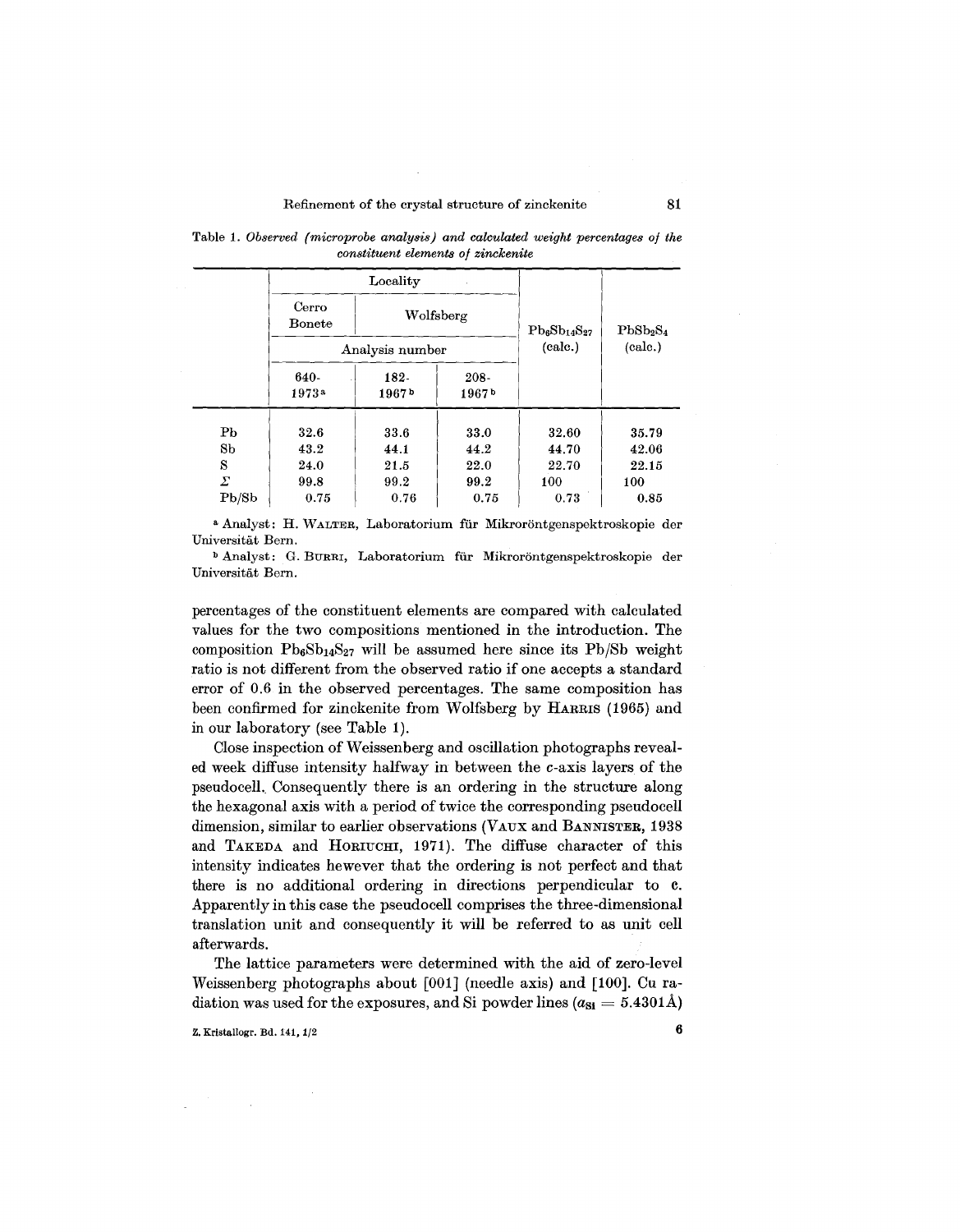Locality Cerro I Wolfsberg Bonete  $Pb_6Sb_{14}S_{27}$  PbSb<sub>2</sub>S<sub>4</sub> Analysis number (calc.) (calc.) 640- 182- 208- 1973a 1967b 1967b  $\text{Pb}$  | 32.6 | 33.6 | 33.0 | 32.60 | 35.79  $8b \t 43.2 \t 44.1 \t 44.2 \t 44.70 \t 42.06$  $S \qquad | \quad 24.0 \qquad | \quad 21.5 \qquad | \quad 22.0 \qquad | \quad 22.70 \qquad | \quad 22.15$  $\Sigma$  | 99.8 | 99.2 | 99.2 | 100 | 100  $\text{Pb}/\text{Sb}$  | 0.75 | 0.76 | 0.75 | 0.73 | 0.85

Table 1. *Observed (microprobe analysis) and calculated weight percentages of the constituent elements of zinckenite*

<sup>a</sup> Analyst: H. WALTER, Laboratorium für Mikroröntgenspektroskopie der Universitat Bern.

<sup>b</sup> Analyst: G. BURRI, Laboratorium für Mikroröntgenspektroskopie der Universitat Bern.

percentages of the constituent elements are compared with calculated values for the two compositions mentioned in the introduction. The composition  $Pb_6Sb_{14}S_{27}$  will be assumed here since its  $Pb/8b$  weight ratio is not different from the observed ratio if one accepts a standard error of 0.6 in the observed percentages. The same composition has been confirmed for zinckenite from Wolfsberg by HARRIS (1965) and in our laboratory (see Table 1).

Close inspection of Weissenberg and oscillation photographs revealed week diffuse intensity halfway in between the c-axis layers of the pseudocell.. Consequently there is an ordering in the structure along the hexagonal axis with a period of twice the corresponding pseudocell dimension, similar to earlier observations (VAUX and BANNISTER, 1938) and TAKEDA and HORIUCHI, 1971). The diffuse character of this intensity indicates hewever that the ordering is not perfect and that there is no additional ordering in directions perpendicular to c. Apparently in this case the pseudocell comprises the three-dimensional translation unit and consequently it will be referred to as unit cell afterwards.

The lattice parameters were determined with the aid of zero-level Weissenberg photographs about [001] (needle axis) and [100]. Cu radiation was used for the exposures, and Si powder lines  $(a_{\rm Si} = 5.4301\text{\AA})$ 

Z. Kristallogr. Bd. 141,  $1/2$  6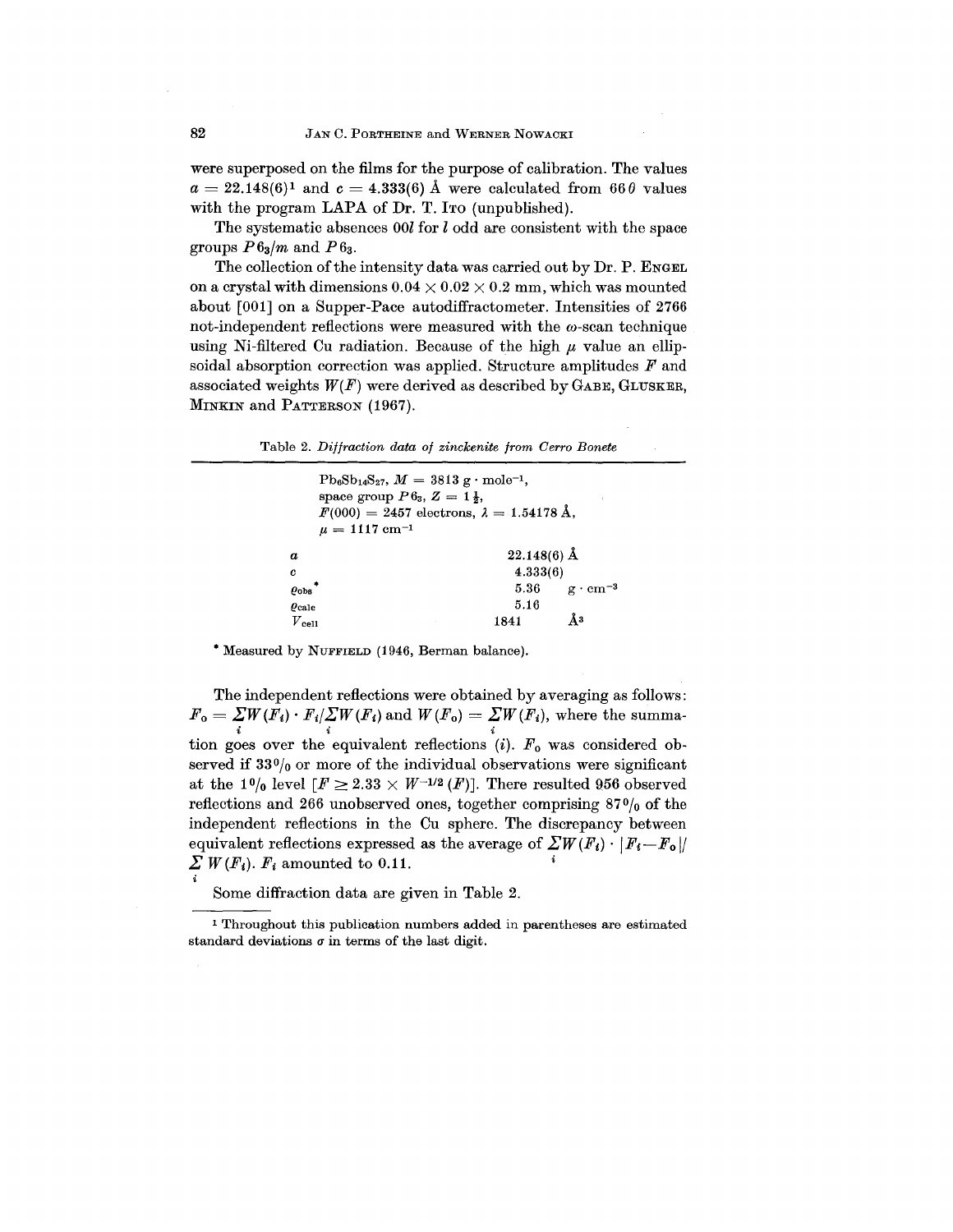were superposed on the films for the purpose of calibration. The values  $a = 22.148(6)^1$  and  $c = 4.333(6)$  Å were calculated from  $66\,\theta$  value with the program LAPA of Dr. T. Ito (unpublished).

The systematic absences 00l for *l* odd are consistent with the space groups  $P6_3/m$  and  $P6_3$ .

The collection of the intensity data was carried out by Dr. P. ENGEL on a crystal with dimensions  $0.04 \times 0.02 \times 0.2$  mm, which was mounted about [001] on a Supper-Pace autodiffractometer. Intensities of 2766 not-independent reflections were measured with the  $\omega$ -scan technique using Ni-filtered Cu radiation. Because of the high  $\mu$  value an ellip soidal absorption correction was applied. Structure amplitudes *F* and associated weights  $W(F)$  were derived as described by GABE, GLUSKER, MINKIN and PATTERSON (1967).

|  | Table 2. Diffraction data of zinckenite from Cerro Bonete |  |  |  |
|--|-----------------------------------------------------------|--|--|--|
|  |                                                           |  |  |  |

| space group $P 6_3$ , $Z = 1\frac{1}{3}$ ,<br>$\mu = 1117$ cm <sup>-1</sup> | $Pb_6Sb_{14}S_{27}$ , $M = 3813$ g · mole <sup>-1</sup> ,<br>$F(000) = 2457$ electrons, $\lambda = 1.54178$ Å, |                        |
|-----------------------------------------------------------------------------|----------------------------------------------------------------------------------------------------------------|------------------------|
| $\boldsymbol{a}$                                                            | $22.148(6)$ Å                                                                                                  |                        |
| c                                                                           | 4.333(6)                                                                                                       |                        |
| $\varrho_{\rm obs}$                                                         |                                                                                                                | 5.36 $g \cdot cm^{-3}$ |
| $\rho_{\rm calc}$                                                           | 5.16                                                                                                           |                        |
| $V\rm_{cell}$                                                               | 1841                                                                                                           | Ăз                     |

·Measured by NUFFIELD (1946, Berman balance).

The independent reflections were obtained by averaging as follows:  $F_{\text{o}} = \sum\limits_{i} W(F_{i}) \cdot F_{i}/\sum\limits_{i} W(F_{i})$  and  $W(F_{\text{o}}) = \sum\limits_{i} W(F_{i}),$  where the summation goes over the equivalent reflections  $(i)$ .  $F_0$  was considered observed if  $33\frac{0}{0}$  or more of the individual observations were significant at the 1% level  $[F \geq 2.33 \times W^{-1/2} (F)]$ . There resulted 956 observed reflections and 266 unobserved ones, together comprising  $87\frac{0}{0}$  of the independent reflections in the Ou sphere. The discrepancy between equivalent reflections expressed as the average of  $\sum W(F_i) \cdot |F_i - F_o|/$  $\sum W(F_i)$ .  $F_i$  amounted to 0.11.

Some diffraction data are given in Table 2.

I Throughout this publication numbers added in parentheses are estimated standard deviations  $\sigma$  in terms of the last digit.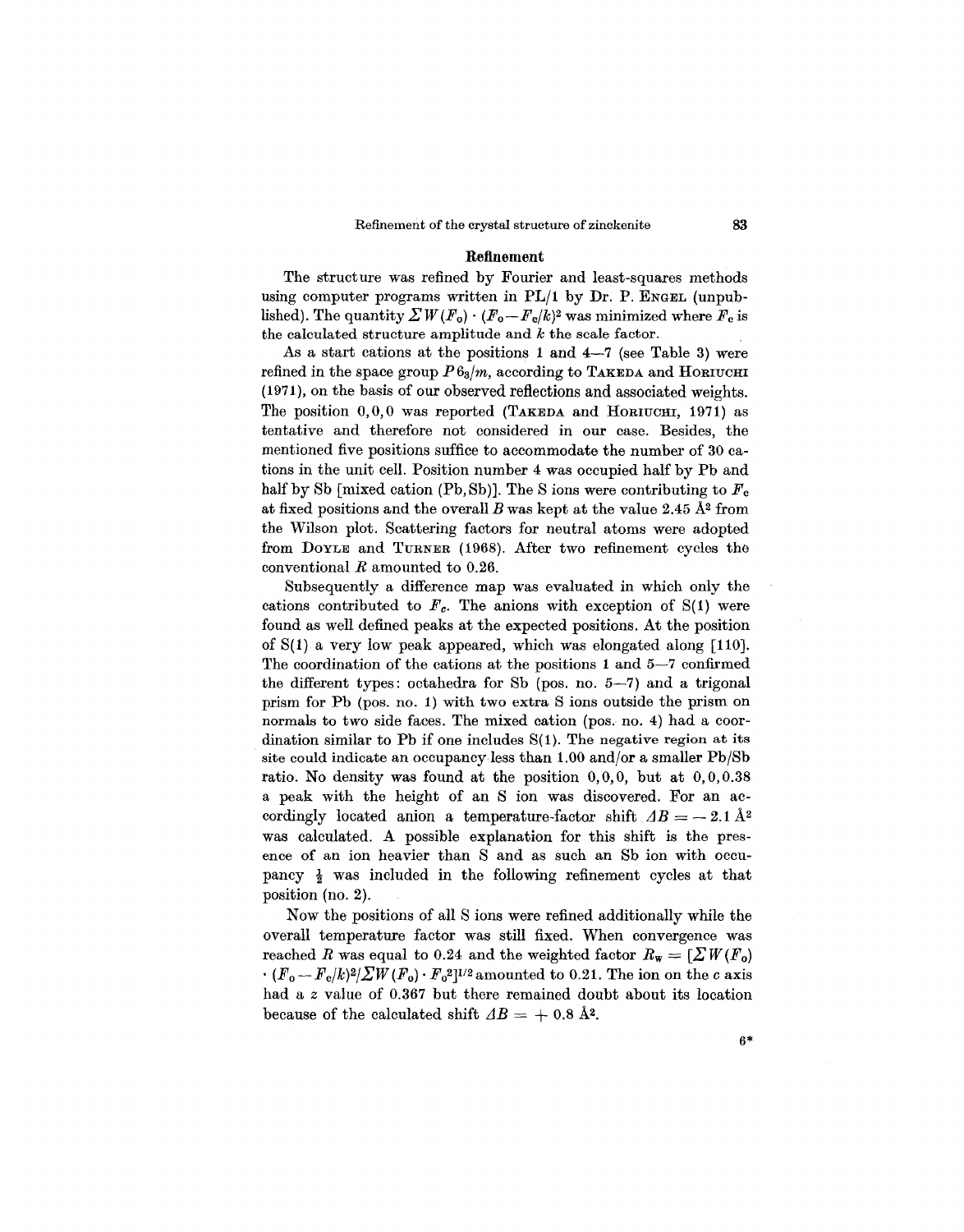#### **Refinement**

The struct ure was refined by Fourier and least-squares methods using computer programs written in *PL/1* by Dr. P. ENGEL (unpublished). The quantity  $\sum W(F_0) \cdot (F_0 - F_c/k)^2$  was minimized where  $F_c$  is the calculated structure amplitude and  $k$  the scale factor.

As a start cations at the positions 1 and  $4-7$  (see Table 3) were refined in the space group  $P6_3/m$ , according to TAKEDA and HORIUCHI (1971), on the basis of our observed reflections and associated weights. The position 0,0,0 was reported (TAKEDA and HORIUCHI, 1971) as tentative and therefore not considered in our case. Besides, the mentioned five positions suffice to accommodate the number of 30 cations in the unit cell. Position number 4 was occupied half by Pb and half by Sb [mixed cation (Pb, Sb)]. The S ions were contributing to  $F_c$ at fixed positions and the overall  $B$  was kept at the value 2.45  $\AA$ <sup>2</sup> from the Wilson plot. Scattering factors for neutral atoms were adopted from DOYLE and TURNER (1968). After two refinement cycles the conventional *R* amounted to 0.26.

Subsequently a difference map was evaluated in which only the cations contributed to  $F_c$ . The anions with exception of  $S(1)$  were found as well defined peaks at the expected positions. At the position of S(l) a very low peak appeared, which was elongated along [110]. The coordination of the cations at the positions 1 and 5-7 confirmed the different types: octahedra for Sb (pos. no. 5-7) and a trigonal prism for Pb (pos. no. 1) with two extra S ions outside the prism on normals to two side faces. The mixed cation (pos. no. 4) had a coordination similar to Pb if one includes  $S(1)$ . The negative region at its site could indicate an occupancy less than 1.00 and/or a smaller Pb/Sb ratio. No density was found at the position  $0,0,0$ , but at  $0,0,0.38$ a peak with the height of an S ion was discovered. For an accordingly located anion a temperature-factor shift  $\Delta B = -2.1 \text{ Å}^2$ was calculated. A possible explanation for this shift is the presence of an ion heavier than S and as such an Sb ion with occupancy  $\frac{1}{2}$  was included in the following refinement cycles at that position (no. 2).

Now the positions of all S ions were refined additionally while the overall temperature factor was still fixed. When convergence was reached *R* was equal to 0.24 and the weighted factor  $R_w = \left[\sum W(F_0)\right]$  $\cdot$   $(F_o-F_c/k)^2/\sum W(F_o)\cdot F_o^2]^{1/2}$  amounted to 0.21. The ion on the *c* axis had a *z* value of 0.367 but there remained doubt about its location because of the calculated shift  $AB = +0.8$  A<sup>2</sup>.

6\*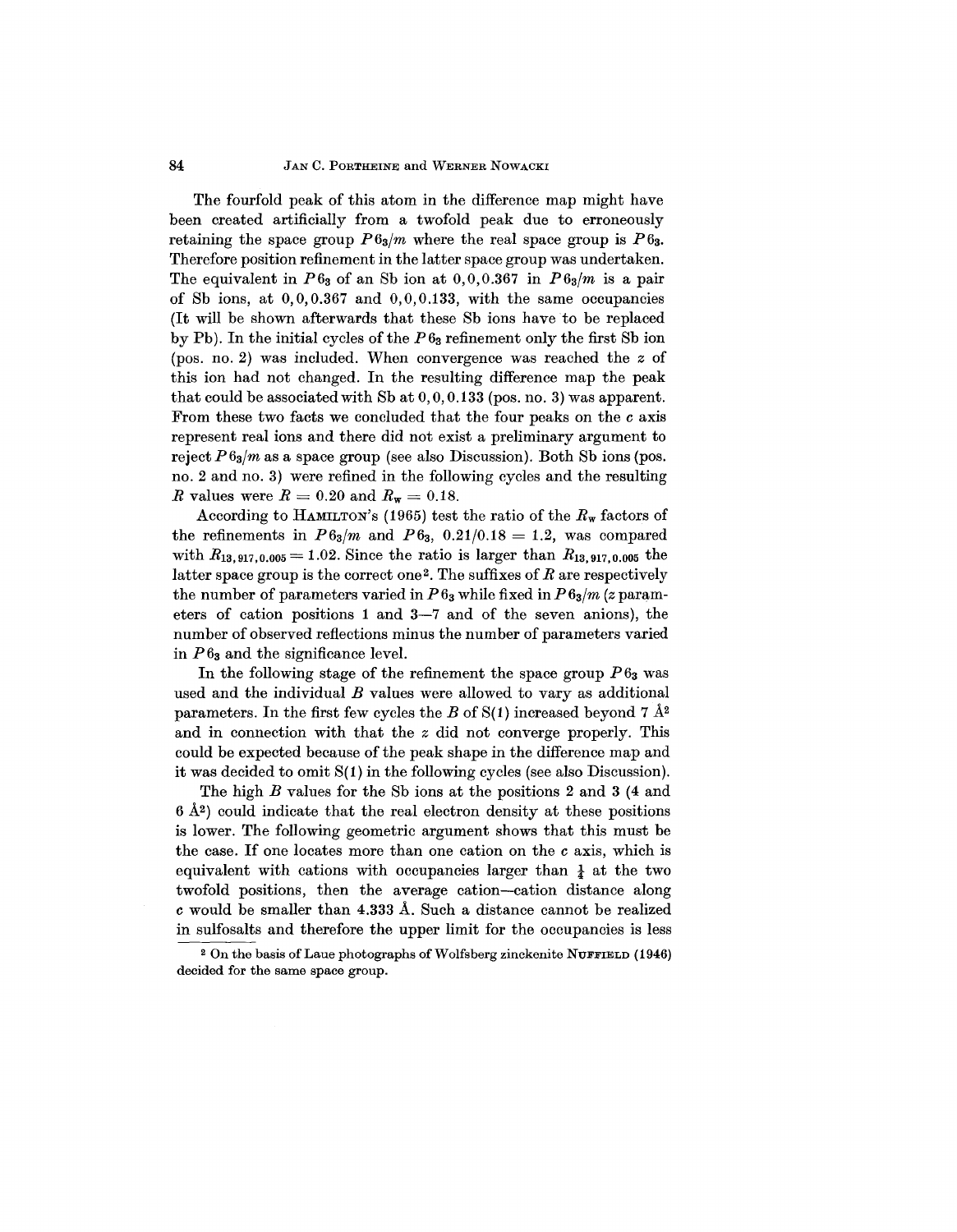#### 84 JAN C. PORTHEINE and WERNER NOWACKI

The fourfold peak of this atom in the difference map might have been created artificially from a twofold peak due to erroneously retaining the space group  $P6_3/m$  where the real space group is  $P6_3$ . Therefore position refinement in the latter space group was undertaken. The equivalent in  $P6_3$  of an Sb ion at  $0,0,0.367$  in  $P6_3/m$  is a pair of Sb ions, at 0,0,0.367 and 0,0,0.133, with the same occupancies (It will be shown afterwards that these Sb ions have to be replaced by Pb). In the initial cycles of the *P63* refinement only the first Sb ion (pos. no. 2) was included. When convergence was reached the *z* of this ion had not changed. In the resulting difference map the peak that could be associated with Sb at 0,0,0.133 (pos. no. 3) was apparent. From these two facts we concluded that the four peaks on the c axis represent real ions and there did not exist a preliminary argument to reject  $P_{\alpha}$  *n* as a space group (see also Discussion). Both Sb ions (pos. no. 2 and no. 3) were refined in the following cycles and the resulting *R* values were  $R = 0.20$  and  $R_w = 0.18$ .

According to HAMILTON's (1965) test the ratio of the  $R_w$  factors of  $\text{the refinements in } P6_{3}/m \text{ and } P6_{3}, \ 0.21/0.18 = 1.2, \ \text{was compare}$ with  $R_{13,917,0.005} = 1.02$ . Since the ratio is larger than  $R_{13,917,0.005}$  the latter space group is the correct one2. The suffixes of *R* are respectively the number of parameters varied in  $P6_3$  while fixed in  $P6_3/m$  (*z* parameters of cation positions 1 and 3-7 and of the seven anions), the number of observed reflections minus the number of parameters varied in  $P6_3$  and the significance level.

In the following stage of the refinement the space group  $P 6<sub>3</sub>$  was used and the individual *B* values were allowed to vary as additional parameters. In the first few cycles the *B* of  $S(1)$  increased beyond 7  $\AA^2$ and in connection with that the *z* did not converge properly. This could be expected because of the peak shape in the difference map and it was decided to omit S(1) in the following cycles (see also Discussion).

The high *B* values for the Sb ions at the positions 2 and 3 (4 and  $6 \text{ Å}^2$ ) could indicate that the real electron density at these positions is lower. The following geometric argument shows that this must be the case. If one locates more than one cation on the c axis, which is equivalent with cations with occupancies larger than  $\frac{1}{4}$  at the two twofold positions, then the average cation-cation distance along c would be smaller than 4.333 A. Such a distance cannot be realized in sulfosalts and therefore the upper limit for the occupancies is less

<sup>&</sup>lt;sup>2</sup> On the basis of Laue photographs of Wolfsberg zinckenite NUFFIELD (1946) decided for the same space group.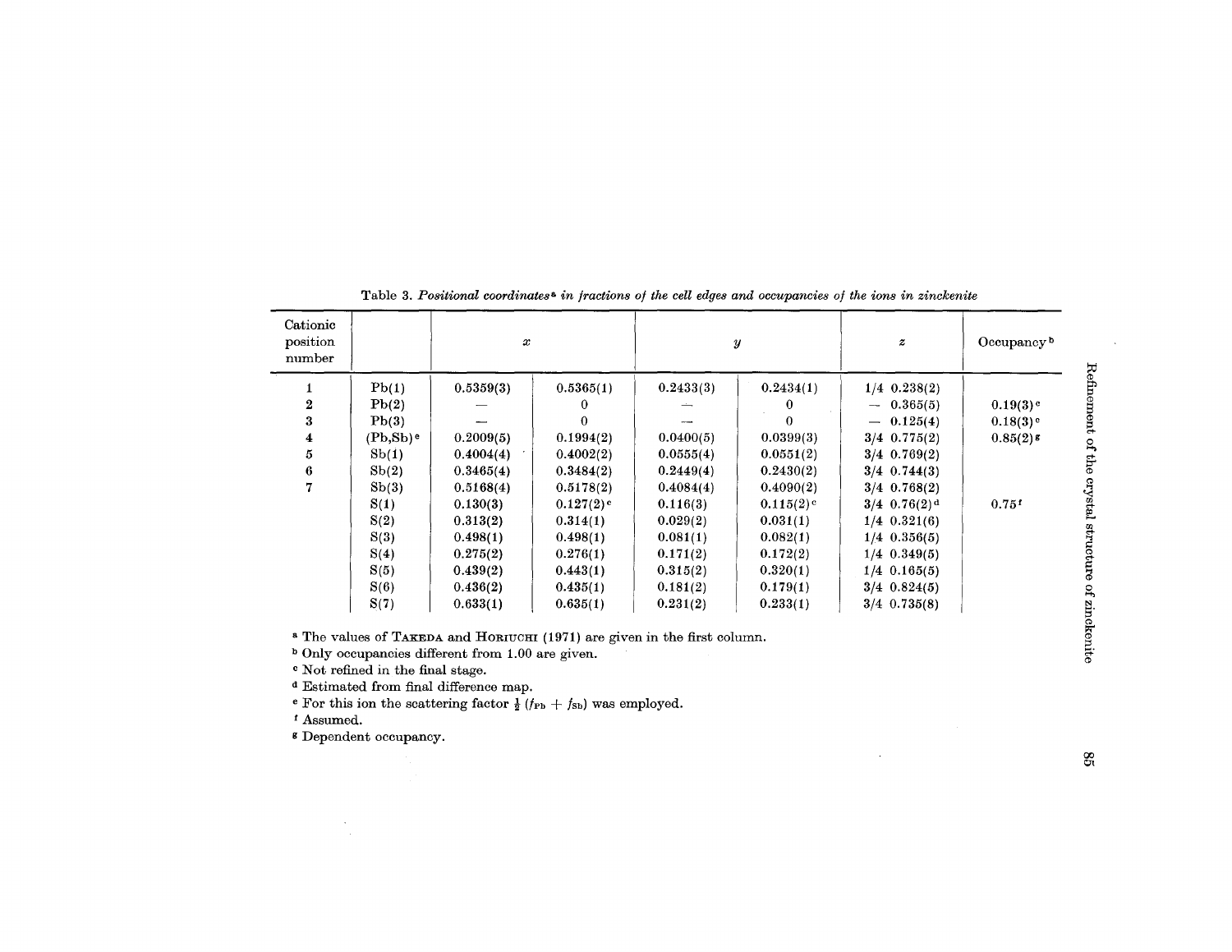| Cationic<br>position<br>number |                         | x         |                         |           | $\boldsymbol{y}$        | $\boldsymbol{z}$           | Occupancy <sup>b</sup> |
|--------------------------------|-------------------------|-----------|-------------------------|-----------|-------------------------|----------------------------|------------------------|
|                                | Pb(1)                   | 0.5359(3) | 0.5365(1)               | 0.2433(3) | 0.2434(1)               | $1/4$ 0.238(2)             |                        |
| $\overline{2}$                 | Pb(2)                   |           | 0                       |           | $\bf{0}$                | $-0.365(5)$                | $0.19(3)$ <sup>c</sup> |
| 3                              | Pb(3)                   |           | 0                       |           | 0                       | $-0.125(4)$                | $0.18(3)$ <sup>c</sup> |
| 4                              | $(Pb, Sb)$ <sup>e</sup> | 0.2009(5) | 0.1994(2)               | 0.0400(5) | 0.0399(3)               | $3/4$ 0.775(2)             | $0.85(2)$ g            |
| 5                              | Sb(1)                   | 0.4004(4) | 0.4002(2)               | 0.0555(4) | 0.0551(2)               | $3/4$ 0.769(2)             |                        |
| 6                              | Sb(2)                   | 0.3465(4) | 0.3484(2)               | 0.2449(4) | 0.2430(2)               | $3/4$ 0.744(3)             |                        |
| 7                              | Sb(3)                   | 0.5168(4) | 0.5178(2)               | 0.4084(4) | 0.4090(2)               | $3/4$ 0.768(2)             |                        |
|                                | S(1)                    | 0.130(3)  | $0.127(2)$ <sup>c</sup> | 0.116(3)  | $0.115(2)$ <sup>c</sup> | $3/4$ 0.76(2) <sup>d</sup> | 0.75f                  |
|                                | S(2)                    | 0.313(2)  | 0.314(1)                | 0.029(2)  | 0.031(1)                | $1/4$ 0.321(6)             |                        |
|                                | S(3)                    | 0.498(1)  | 0.498(1)                | 0.081(1)  | 0.082(1)                | $1/4$ 0.356(5)             |                        |
|                                | S(4)                    | 0.275(2)  | 0.276(1)                | 0.171(2)  | 0.172(2)                | $1/4$ 0.349(5)             |                        |
|                                | S(5)                    | 0.439(2)  | 0.443(1)                | 0.315(2)  | 0.320(1)                | $1/4$ 0.165(5)             |                        |
|                                | S(6)                    | 0.436(2)  | 0.435(1)                | 0.181(2)  | 0.179(1)                | $3/4$ 0.824(5)             |                        |
|                                | S(7)                    | 0.633(1)  | 0.635(1)                | 0.231(2)  | 0.233(1)                | $3/4$ 0.735(8)             |                        |

Table 3. *Positional coordinates& in fractions of the cell edges and occupancies of the ions in zinckenite*

& The values of TAKEDA and HORIUCHI (1971) are given in the first column.

b Only occupancies different from 1.00 are given.

c Not refined in the final stage.

<sup>d</sup> Estimated from final difference map.<br>
<sup>e</sup> For this ion the scattering factor  $\frac{1}{2} (f_{\text{Pb}} + f_{\text{Sb}})$  was employe

f Assumed.

 $\sim$ 

<sup>8</sup> Dependent occupan

 $\mathcal{L}^{\pm}$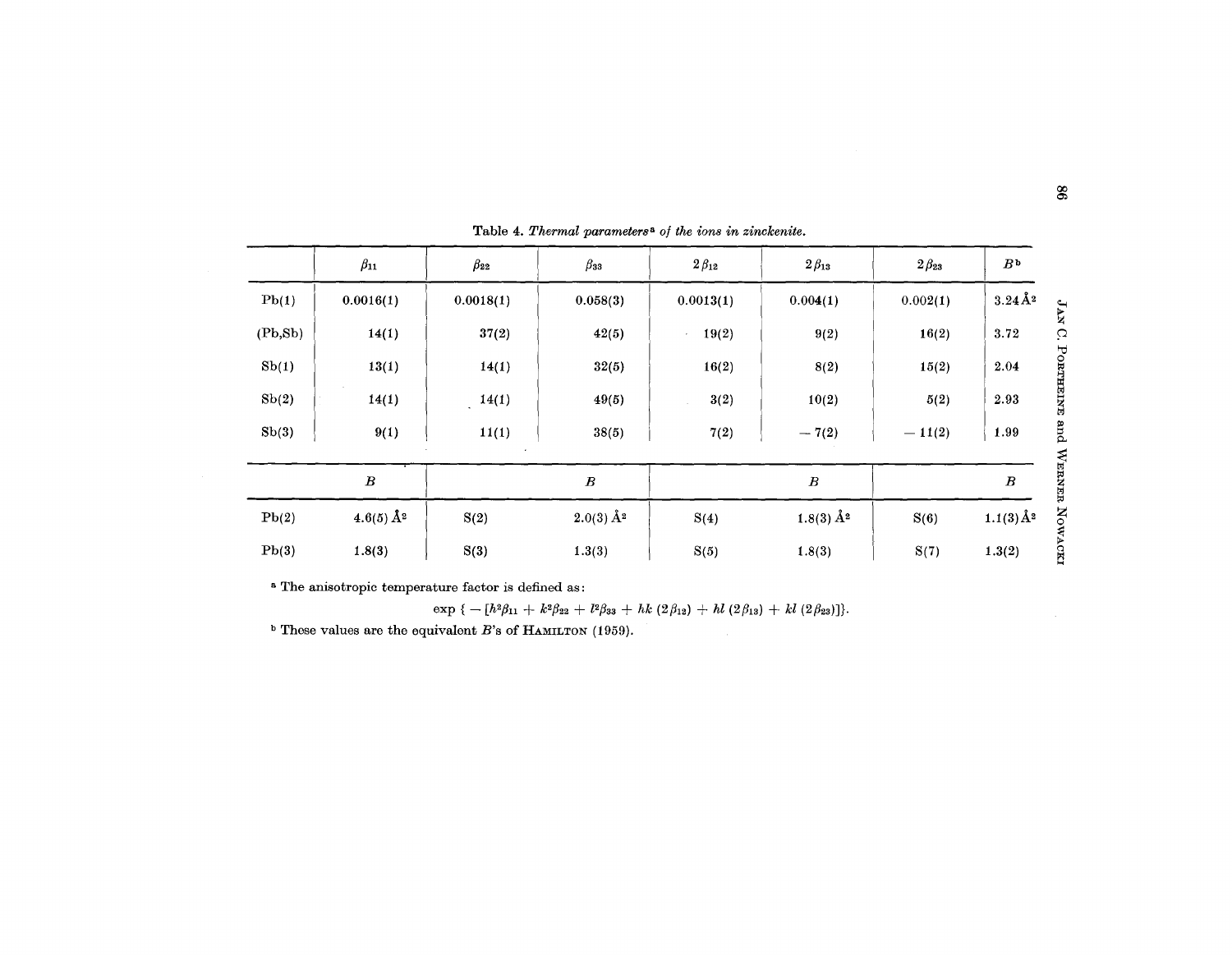|          | $\beta_{11}$                | $\beta_{22}$<br>$\beta$ зз |                          | $2\beta_{12}$<br>$2\beta_{13}$ |                             | $2\beta_{23}$ | B <sup>b</sup>         |  |
|----------|-----------------------------|----------------------------|--------------------------|--------------------------------|-----------------------------|---------------|------------------------|--|
| Pb(1)    | 0.0016(1)                   | 0.0018(1)                  | 0.058(3)                 | 0.0013(1)                      | 0.004(1)                    | 0.002(1)      | $3.24\AA$ <sup>2</sup> |  |
| (Pb, Sb) | 14(1)                       | 37(2)                      | 42(5)                    | 19(2)                          | 9(2)                        | 16(2)         | 3.72                   |  |
| Sb(1)    | 13(1)                       | 14(1)                      | 32(5)                    | 16(2)                          | 8(2)                        | 15(2)         | 2.04                   |  |
| Sb(2)    | 14(1)                       | 14(1)                      | 49(5)                    | 3(2)                           | 10(2)                       | 5(2)          | 2.93                   |  |
| Sb(3)    | 9(1)                        | 11(1)                      | 38(5)                    | 7(2)                           |                             | $-11(2)$      | 1.99                   |  |
|          | $\boldsymbol{B}$            |                            | $\boldsymbol{B}$         |                                | $\boldsymbol{B}$            |               | $\boldsymbol{B}$       |  |
| Pb(2)    | $4.6(5)$ $\AA$ <sup>2</sup> | S(2)                       | $2.0(3)\,\mathrm{\AA}^2$ | S(4)                           | $1.8(3)$ $\AA$ <sup>2</sup> | S(6)          |                        |  |
| Pb(3)    | 1.8(3)                      | S(3)<br>1.3(3)             |                          | S(5)                           | 1.8(3)                      | S(7)          | 1.3(2)                 |  |

Table 4. Thermal parameters<sup>a</sup> of the *ions* in zinckenite.

& The anisotropic temperature factor is defined as:

 $\exp \{ - [h^2 \beta_{11} + k^2 \beta_{22} + l^2 \beta_{33} + hk (2 \beta_{12}) + hl (2 \beta_{13}) + kl (2 \beta_{23}) ] \}$ 

 $b$  These values are the equivalent B's of HAMILTON (1959).

 $\mathcal{L}$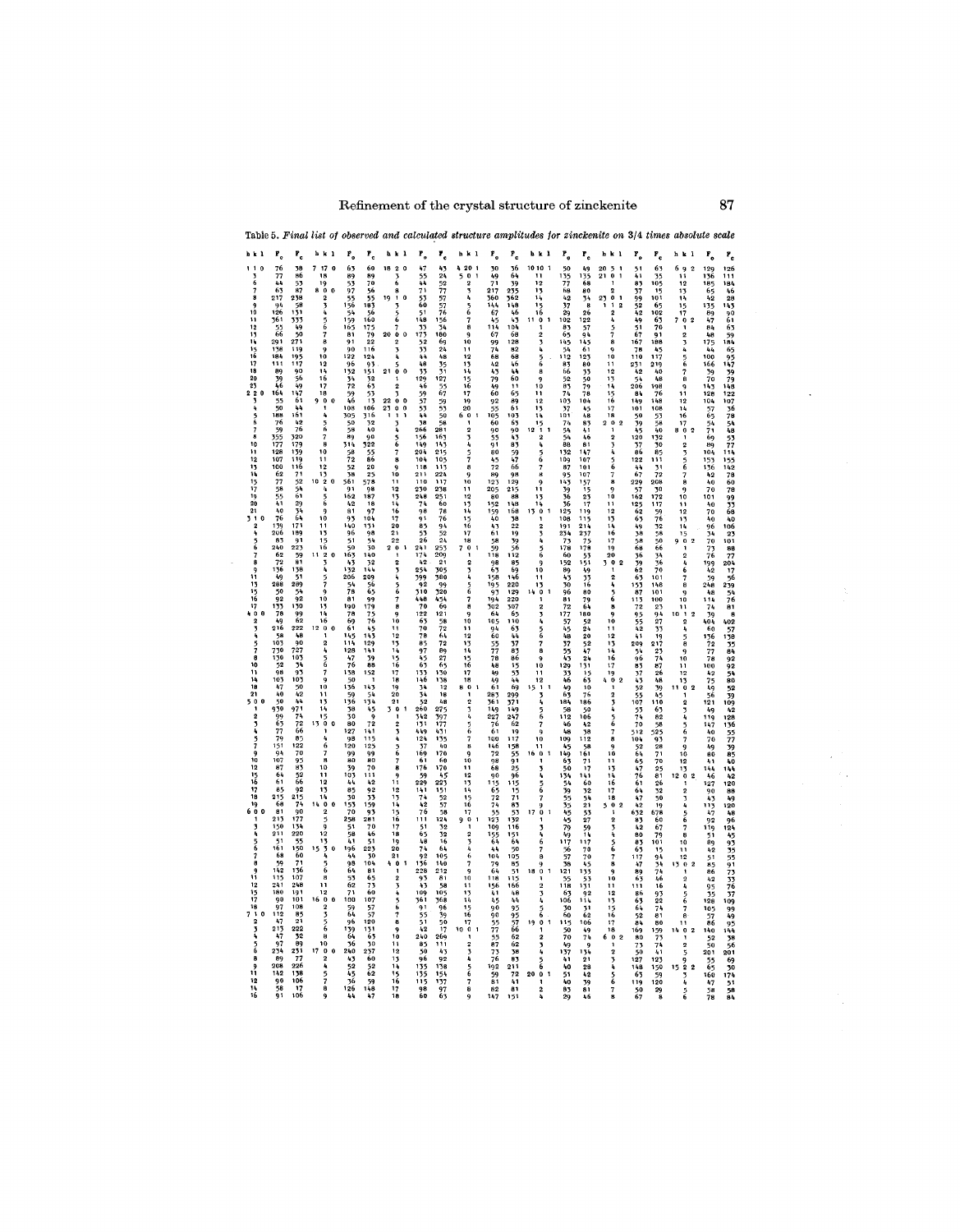## Refinement of the crystal structure of zinckenite **87**

| Table 5. <i>Final list</i>                                                                                                                                                                                                                                                                                                                                                                                   | observed                                                          |                                                                                                                                                                 | structure                                                                                               | amplatudes                                                                        | zinckenite                                                           |                                                     |                                                                                              | absolute scale                                                                   |                                  |
|--------------------------------------------------------------------------------------------------------------------------------------------------------------------------------------------------------------------------------------------------------------------------------------------------------------------------------------------------------------------------------------------------------------|-------------------------------------------------------------------|-----------------------------------------------------------------------------------------------------------------------------------------------------------------|---------------------------------------------------------------------------------------------------------|-----------------------------------------------------------------------------------|----------------------------------------------------------------------|-----------------------------------------------------|----------------------------------------------------------------------------------------------|----------------------------------------------------------------------------------|----------------------------------|
| P.,<br>r <sub>c</sub><br>ь                                                                                                                                                                                                                                                                                                                                                                                   | r.<br>$\mathbf{r}_{\rm e}$<br>b                                   | $r_{\rm e}$<br>r,                                                                                                                                               | $\mathbf{r}_{_{\mathrm{o}}}$                                                                            | r <sub>c</sub><br>b k                                                             | $\mathbf{r}_{_{\mathrm{o}}}$<br>r <sub>e</sub>                       | h                                                   | r <sub>c</sub>                                                                               | F.,<br>h k l                                                                     | ۶.                               |
| 38<br>17                                                                                                                                                                                                                                                                                                                                                                                                     | 60<br>63<br>18                                                    | 47<br>43<br>2                                                                                                                                                   | 30<br>20                                                                                                | 10 10                                                                             | 50<br>49                                                             | 20<br>5                                             | 63<br>51                                                                                     | 129                                                                              | 126                              |
| 76<br>77<br>44<br>63<br>86<br>3<br>6                                                                                                                                                                                                                                                                                                                                                                         | 89537<br>89<br>70<br>56<br>55<br>55                               | 3<br>6<br>5541                                                                                                                                                  | 0<br>49                                                                                                 | 36<br>64<br>39<br>235<br>235                                                      | $\frac{135}{68}$<br>$\frac{155}{77}$                                 | 21<br>$\ddot{\mathbf{0}}$                           | 41<br>$\frac{35}{105}$<br>$\frac{15}{101}$                                                   | $\begin{array}{c} 9 \\ 11 \\ 12 \end{array}$<br>136                              | 111                              |
| $\frac{7}{8}$                                                                                                                                                                                                                                                                                                                                                                                                |                                                                   | 8                                                                                                                                                               | 2<br>71<br>3<br>217                                                                                     |                                                                                   |                                                                      |                                                     | 87                                                                                           | 185<br>65                                                                        | 184<br>46                        |
| $53$<br>$238$<br>$58$<br>$131$<br>217<br>94<br>9                                                                                                                                                                                                                                                                                                                                                             | 19<br>$\frac{55}{156}$                                            | 24 52 77 57 57<br>$\mathbf 0$<br>$\frac{55}{60}$<br>1                                                                                                           | 360<br>144                                                                                              | .<br>148                                                                          | 68<br>42<br>37<br>29<br>80<br>34<br>8                                | $\frac{1}{3}$<br>$\frac{23}{1}$<br>$\mathbf{1}$     | 37<br>99<br>52<br>65                                                                         | 42                                                                               | $\frac{28}{143}$                 |
| 10                                                                                                                                                                                                                                                                                                                                                                                                           | 56<br>54                                                          |                                                                                                                                                                 | 67                                                                                                      | 46                                                                                | 26                                                                   |                                                     | 42<br>102                                                                                    | 135<br>89                                                                        |                                  |
| $\frac{126}{361}$<br>55<br>55<br>66<br>11                                                                                                                                                                                                                                                                                                                                                                    | 159<br>160<br>165                                                 |                                                                                                                                                                 | 45<br>8                                                                                                 | 43<br>104                                                                         | 102<br>122                                                           |                                                     | 49<br>$\frac{51}{67}$                                                                        | りゅうりゅう<br>4Ź                                                                     |                                  |
| 8902345678<br>333<br>549<br>50<br>271<br>291                                                                                                                                                                                                                                                                                                                                                                 | $\frac{175}{79}$<br>81<br>91                                      | $\frac{156}{34}$<br>180<br>69<br>$\begin{smallmatrix}&&\stackrel{\textstyle\vee}{\textstyle\circ}&\\ 2\textstyle 0&0&0\\2&&&\\ &&\ddots&\\&&&\end{smallmatrix}$ | ٩<br>10                                                                                                 | 12134151601234<br>68<br>128                                                       | $\frac{83}{65}$<br>57945                                             | $\begin{array}{c} 5 \\ 7 \\ 8 \end{array}$          |                                                                                              | $84$<br>$48$<br>$175$<br>$44$                                                    |                                  |
| 138<br>184<br>119<br>$\frac{9}{10}$                                                                                                                                                                                                                                                                                                                                                                          | 90<br>116                                                         | 5148 33 33 44<br>24                                                                                                                                             | $\frac{114}{67}$<br>$\frac{99}{74}$<br>$\frac{74}{68}$<br>11                                            | 82                                                                                | $\frac{54}{12}$                                                      | 9                                                   | $63$<br>70<br>91<br>98<br>45<br>47<br>$\frac{167}{78}$<br>110                                |                                                                                  |                                  |
| 12131415161718202323<br>195<br>117<br>12                                                                                                                                                                                                                                                                                                                                                                     | 122<br>124<br>96<br>93                                            | 48                                                                                                                                                              | 12                                                                                                      | 68<br>46                                                                          | 123<br>80<br>83                                                      | 10<br>11<br>$\frac{231}{42}$                        | 219                                                                                          | 23456<br>100<br>166                                                              | 67984695799882776884857714       |
| 14<br>16                                                                                                                                                                                                                                                                                                                                                                                                     | $\frac{152}{34}$<br>72<br>72<br>59<br>151<br>32<br>63<br>53<br>53 | $3531$<br>$127$<br>$55$<br>$67$<br>21 0 0                                                                                                                       | 13<br>14<br>15<br>16<br>4243794960                                                                      | $\frac{44}{60}$<br>$\frac{11}{65}$<br>9                                           | 66<br>33<br>50<br>79<br>78                                           | 12                                                  | 40<br>48<br>198<br>76<br>148                                                                 | 7<br>$\frac{39}{70}$<br>8                                                        |                                  |
| 17<br>18                                                                                                                                                                                                                                                                                                                                                                                                     |                                                                   |                                                                                                                                                                 | $\overline{17}$                                                                                         | $\frac{10}{11}$                                                                   | $\frac{52}{83}$                                                      | $13 + 15$<br>$15 + 16$<br>$\frac{54}{206}$          |                                                                                              | $\frac{9}{11}$<br>143<br>128                                                     |                                  |
| 1189394645550<br>9056 9976 4416 426<br>$\frac{0}{1}$                                                                                                                                                                                                                                                                                                                                                         | 46<br>22                                                          | 483329469575343869<br>$\frac{59}{53}$<br>$\ddot{\mathbf{0}}$<br>$\mathbf{o}$                                                                                    | 19                                                                                                      | $\frac{89}{61}$<br>12                                                             | 104<br>$\frac{103}{37}$                                              |                                                     | 149                                                                                          | $\frac{12}{14}$<br>104                                                           |                                  |
|                                                                                                                                                                                                                                                                                                                                                                                                              | 108<br>106<br>$\frac{2}{3}$ $\frac{0}{1}$                         |                                                                                                                                                                 | $\frac{92}{55}$<br>105<br>20<br>60                                                                      | 13<br>14                                                                          | 45<br>48                                                             | 17                                                  | 101<br>101<br>50<br>59<br>54<br>108<br>53<br>58<br>54<br>52<br>13<br>30                      | 576541169<br>$\begin{array}{c} 14 \\ 16 \\ 17 \\ 10 \\ 2 \\ -1 \\ 0 \end{array}$ |                                  |
| 188<br>76<br>59<br>もちら<br>5678                                                                                                                                                                                                                                                                                                                                                                               | 305<br>50<br>58<br>316<br>32<br>40                                | $\frac{50}{50}$                                                                                                                                                 | $\frac{1}{2}$<br>$6090$<br>$5591$                                                                       | $\frac{103}{65}$<br>$\frac{65}{90}$<br>$\frac{15}{2}$                             | $\frac{101}{74}$<br>83<br>41                                         | $\begin{array}{c} 18 \\ 2 & 0 \\ 1 \end{array}$     |                                                                                              |                                                                                  |                                  |
| 320<br>$\frac{7}{8}$<br>355                                                                                                                                                                                                                                                                                                                                                                                  | 89<br>90                                                          | 156<br>163                                                                                                                                                      |                                                                                                         |                                                                                   | 46                                                                   | $\frac{2}{3}$                                       | $\frac{120}{37}$                                                                             |                                                                                  |                                  |
| $\frac{10}{11}$<br>177<br>179<br>139<br>128<br>10                                                                                                                                                                                                                                                                                                                                                            | 314<br>322                                                        | 149<br>143<br>204<br>215                                                                                                                                        | 80                                                                                                      | 83                                                                                | 88<br>81<br>147<br>132                                               |                                                     | 86                                                                                           | 89<br>104                                                                        |                                  |
| 12<br>107<br>11                                                                                                                                                                                                                                                                                                                                                                                              | 58<br>72<br>52<br>58<br>$\frac{55}{86}$                           | うら ちら 78 9 10 11<br>$\frac{105}{113}$<br>$\frac{113}{224}$<br>$\frac{117}{117}$<br>104<br>118                                                                   | 57<br>45<br>8                                                                                           | $\frac{59}{47}$<br>567<br>66                                                      | 109<br>107<br>87                                                     | $\frac{5}{6}$                                       | 122                                                                                          | 2356<br>153<br>136                                                               | 155<br>142                       |
|                                                                                                                                                                                                                                                                                                                                                                                                              |                                                                   | 211<br>110                                                                                                                                                      | $\frac{72}{89}$                                                                                         | 8<br>9                                                                            |                                                                      | $\begin{array}{c} 7 \\ 8 \end{array}$               |                                                                                              |                                                                                  |                                  |
| 17 14 15 17 19<br>109 27585544 76 1396<br>$\begin{array}{c} 12 \\ 13 \\ 0 \\ 4 \\ 5 \\ 6 \end{array}$                                                                                                                                                                                                                                                                                                        | $20$<br>$25$<br>$578$<br>$98$<br>$187$<br>$18$<br>561<br>91       | $\frac{12}{13}$<br>250<br>238                                                                                                                                   | $\frac{9}{10}$<br>205                                                                                   | $\frac{98}{129}$<br>۱í                                                            | $\frac{101}{107}$<br>$\frac{157}{23}$<br>95<br>143<br>39<br>36<br>36 | $\frac{44}{67}$<br>229<br>57<br>162<br>9            |                                                                                              | $\begin{array}{c} 7 \\ 8 \\ 9 \\ 10 \end{array}$<br>$\frac{42}{10}$              | 78<br>60<br>78<br>99<br>55<br>58 |
|                                                                                                                                                                                                                                                                                                                                                                                                              | 42                                                                | 248<br>74<br>98<br>91<br>85<br>$251$<br>$60$<br>$78$<br>$76$<br>$94$<br>14                                                                                      | 12<br>80<br>152                                                                                         | 88<br>148                                                                         | 17                                                                   | 10<br>11                                            |                                                                                              | IÒĪ<br>11<br>40                                                                  |                                  |
| $\frac{20}{21}$<br>$\begin{smallmatrix} 9 \\ 10 \end{smallmatrix}$                                                                                                                                                                                                                                                                                                                                           |                                                                   | $\frac{16}{17}$                                                                                                                                                 | 134516<br>159                                                                                           | 168                                                                               | 125                                                                  | $\begin{array}{c} 12 \\ 13 \end{array}$             | $\frac{125}{62}$                                                                             | 12<br>70                                                                         |                                  |
| $\frac{3}{2}$<br>11                                                                                                                                                                                                                                                                                                                                                                                          | $\frac{81}{93}$                                                   | 20                                                                                                                                                              | $\frac{40}{43}$                                                                                         | 38<br>22                                                                          | 108<br>191                                                           | $\frac{1}{16}$                                      | 63                                                                                           |                                                                                  |                                  |
| 1111 712341 2934 171891<br>13<br>83                                                                                                                                                                                                                                                                                                                                                                          | $97$<br>$104$<br>$131$<br>$98$<br>$54$<br>$30$<br>96              | 21<br>53<br>52<br>22<br>26<br>24                                                                                                                                | 17<br>18                                                                                                | $\begin{array}{r} 13 \\ 14 \\ 13 \\ 0 \\ 1 \\ 2 \\ 3 \\ 4 \end{array}$<br>19      | 115477585519356<br>$\frac{254}{73}$                                  | 17                                                  | 811 31 22 30 31 22 32 33 34 35 36 46<br>49<br>38<br>58                                       | 40 96 44 07 75 76<br>134501                                                      | 40623187247569346182778          |
| - 16 2 3 4 5 7 9 10 13<br>- 11 3 4 5 7 9 10 13<br>$\frac{5}{6}$<br>$240$<br>62<br>72<br>72<br>136<br>$\frac{223}{59}$<br>81                                                                                                                                                                                                                                                                                  | $\frac{51}{50}$                                                   | 253<br>269<br>21<br>305                                                                                                                                         | 58<br>59<br>118<br>98<br>63                                                                             | $79$<br>$112$<br>$85$<br>$69$<br>$146$<br>56                                      |                                                                      | 19                                                  | 68                                                                                           |                                                                                  |                                  |
| 7<br>8                                                                                                                                                                                                                                                                                                                                                                                                       | 163<br>$\frac{140}{32}$<br>144<br>$\frac{43}{132}$                | $2012$<br>$3145$<br>$56$<br>$241$<br>$174$<br>$42$                                                                                                              | $0 - 2$<br>$1 - 2$<br>$1 - 4$                                                                           | $\frac{9}{10}$                                                                    | $60$<br>$152$<br>$89$<br>$43$<br>$50$                                | $\begin{array}{c} 20 \\ 3 \quad 0 \\ 1 \end{array}$ | $\frac{34}{36}$<br>36<br>39<br>62                                                            | 2                                                                                |                                  |
| $\frac{1}{2}$<br>138 51 289 42 930 994 2<br>49                                                                                                                                                                                                                                                                                                                                                               | 206                                                               | 254                                                                                                                                                             | 150                                                                                                     |                                                                                   |                                                                      | 2                                                   | 63<br>101                                                                                    | 4678<br>$199$<br>$42$<br>$59$<br>$248$                                           |                                  |
|                                                                                                                                                                                                                                                                                                                                                                                                              | 2 56 979 75 45 45 47 48<br>$\frac{54}{78}$                        | $\frac{1}{399}$<br>$\frac{92}{310}$<br>380<br>99                                                                                                                | 5<br>6<br>$\frac{195}{93}$                                                                              | $\frac{11}{15}$ 0 1 2 3 4<br>220<br>129                                           | 96<br>80                                                             | 4                                                   | $\frac{153}{87}$<br>148                                                                      | 9<br>48                                                                          |                                  |
| $1515$<br>$1516$<br>$170$<br>$4$<br><br>$2$<br><br><br><br><br><br><br><br><br><br><br><br><br><br>288 50 22 33 49                                                                                                                                                                                                                                                                                           | 81                                                                | 320456918224428927                                                                                                                                              | $\frac{194}{302}$<br>$\frac{7}{8}$                                                                      | 220<br>307                                                                        |                                                                      | $\frac{5}{6}$                                       | $\frac{101}{100}$<br>$\frac{23}{94}$<br>$\frac{94}{27}$<br>$113$<br>72<br>95<br>55<br>42     | 10                                                                               |                                  |
| 14                                                                                                                                                                                                                                                                                                                                                                                                           | $\frac{190}{78}$                                                  | 48025085085765<br>7890                                                                                                                                          | 64<br>9                                                                                                 | 65                                                                                | $\frac{81}{72}$<br>$\frac{77}{57}$<br>$79.64$<br>180<br>52<br>24     | 8<br>9                                              |                                                                                              | $114$<br>$74$<br>$79$<br>$404$<br>$\frac{11}{2}$<br>10                           |                                  |
| 16<br>216                                                                                                                                                                                                                                                                                                                                                                                                    | 61                                                                | 11                                                                                                                                                              | 10<br>105<br>11                                                                                         | 110                                                                               |                                                                      | ۱Ó                                                  |                                                                                              | 60                                                                               |                                  |
| $\begin{array}{r} 120 \\ 124 \\ 245 \\ 567 \\ 79 \end{array}$<br>2248927543550244<br>$\frac{58}{105}$                                                                                                                                                                                                                                                                                                        | 145<br>114                                                        |                                                                                                                                                                 | $\frac{94}{60}$<br>12                                                                                   | 6438861534<br>$\begin{array}{c} 5 \\ 6 \\ 7 \end{array}$                          | $^{45}_{48}$<br>20                                                   | 12                                                  | $33$<br>$23$<br>$23$<br>$74$<br>$87$<br>$26$<br>41                                           | 5<br>8<br>$\frac{136}{72}$<br>$\frac{72}{77}$                                    |                                  |
| 5<br>7<br>8                                                                                                                                                                                                                                                                                                                                                                                                  | 128                                                               | 12 13 14 15 16                                                                                                                                                  | $\frac{55}{77}$<br>13 14 15 16                                                                          | 8                                                                                 | 37<br>55<br>43<br>39<br>33<br>46<br>52<br>47<br>131<br>15            | 13<br>$\frac{1}{16}$                                | $209$<br>$54$<br>$96$<br>$83$<br>$37$                                                        |                                                                                  | 35892248                         |
| 10                                                                                                                                                                                                                                                                                                                                                                                                           | $\frac{47}{76}$                                                   |                                                                                                                                                                 | 48                                                                                                      | q<br>10                                                                           |                                                                      | 17                                                  |                                                                                              | 100                                                                              |                                  |
| 11                                                                                                                                                                                                                                                                                                                                                                                                           | 138                                                               | $\frac{65}{130}$<br>17                                                                                                                                          |                                                                                                         | 11                                                                                |                                                                      | 19                                                  |                                                                                              |                                                                                  |                                  |
| 730 52 98 757 40 50<br>$\frac{15}{18}$<br>$\frac{10}{11}$                                                                                                                                                                                                                                                                                                                                                    | 50<br>136<br>59<br>136<br>38<br>30                                | 133<br>146<br>344<br>52<br>260<br>18<br>138<br>-- 12<br>-- 18<br>$\frac{19}{20}$                                                                                | $\begin{array}{r} 17 \\ 18 \\ 0 \\ 1 \\ 2 \\ 3 \\ 4 \end{array}$<br>49<br>49<br>61<br>283<br>361<br>149 | $\frac{12}{34}$ 5 6 7<br>15                                                       | 63<br>$\frac{16}{76}$<br>$\frac{49}{63}$                             | 40                                                  | 43<br>$\frac{48}{39}$<br>$\frac{39}{45}$<br>110                                              | $-42$<br>75<br>49                                                                |                                  |
| 13<br>50                                                                                                                                                                                                                                                                                                                                                                                                     |                                                                   | 21<br>48                                                                                                                                                        |                                                                                                         | $69$<br>299<br>371<br>149                                                         | 186<br>184                                                           | 234                                                 | 52<br>55<br>57<br>57<br>70<br>70                                                             | 56<br>121                                                                        | $\frac{52}{39}$<br>109<br>42     |
| $\begin{array}{c} 14 \\ 15 \\ 13 & 0 \\ 1 \\ \sqrt{11} \\ 1 \\ \sqrt{11} \\ 1 \\ \sqrt{11} \\ 1 \\ \sqrt{11} \\ 1 \\ \sqrt{11} \\ 1 \\ \sqrt{11} \\ 1 \\ \sqrt{11} \\ 1 \\ \sqrt{11} \\ 1 \\ \sqrt{11} \\ 1 \\ \sqrt{11} \\ 1 \\ \sqrt{11} \\ 1 \\ \sqrt{11} \\ 1 \\ \sqrt{11} \\ 1 \\ \sqrt{11} \\ 1 \\ \sqrt{11} \\ 1 \\ \sqrt{11} \\ 1 \\ \sqrt{11} \\ 1 \\ \sqrt{11} \\ 1 \\ \sqrt{11} \\ 1 \\ \sqrt{11$ |                                                                   |                                                                                                                                                                 |                                                                                                         | 247                                                                               | 50<br>58<br>106                                                      |                                                     | 63<br>82                                                                                     | 49<br>119                                                                        | 128                              |
|                                                                                                                                                                                                                                                                                                                                                                                                              | 80                                                                | 342<br>131<br>449                                                                                                                                               | $\begin{array}{r} 227 \\ 76 \\ 61 \end{array}$                                                          | 62                                                                                | 46                                                                   | 5<br>6                                              | 58                                                                                           | 147                                                                              |                                  |
| 930<br>9963<br>7791<br>4<br>6<br>$\frac{5}{7}$                                                                                                                                                                                                                                                                                                                                                               | 15 14 54 45 9 2 14 15 5 2 14 5 45 9 2 14 15 5<br>$\frac{127}{98}$ | 3 0 1 2 3 4 5 6 7<br>275<br>397<br>431<br>435<br>40                                                                                                             | 5678<br>100                                                                                             | $197$<br>$158$<br>$55$<br>$91$<br>q                                               | $42$<br>$38$<br>$11$<br>$58$<br>$161$<br>48<br>$\frac{109}{15}$      | $\frac{8}{9}$                                       | 512<br>104<br>52<br>64<br>65<br>47<br>$\frac{525}{28}$<br>$\frac{93}{28}$<br>$\frac{71}{70}$ | 40<br>70<br>49<br>80                                                             | 136<br>5577<br>85<br>85          |
| 94                                                                                                                                                                                                                                                                                                                                                                                                           | 120                                                               | $\frac{124}{37}$<br>169                                                                                                                                         | $\frac{146}{72}$                                                                                        | $\begin{array}{c} 10 \\ 11 \\ 6 \ 0 \\ 1 \end{array}$                             |                                                                      | 10                                                  |                                                                                              |                                                                                  |                                  |
| $\frac{9}{10}$<br>$\begin{array}{c} 7 \\ 8 \\ 10 \\ 11 \end{array}$                                                                                                                                                                                                                                                                                                                                          |                                                                   | 8                                                                                                                                                               | $\frac{9}{10}$                                                                                          |                                                                                   | $\frac{149}{67}$<br>$\frac{71}{17}$<br>50                            |                                                     |                                                                                              | Ã1                                                                               |                                  |
| 977266522053266<br>$\begin{array}{c} 107 \\ 87 \\ 64 \\ 61 \end{array}$<br>12<br>15<br>16                                                                                                                                                                                                                                                                                                                    | 99<br>80<br>39<br>103<br>44<br>$\frac{99}{80}$<br>70<br>111       | $\frac{9}{11}$                                                                                                                                                  | 11<br>12<br>13<br>14<br>$68$<br>90<br>115<br>65<br>72                                                   | $25$<br>96<br>115<br>15<br>11<br>うんうん                                             | 141                                                                  | $\frac{1}{16}$                                      | $25$<br>$81$<br>$26$                                                                         | 144<br>12<br>46                                                                  |                                  |
| 12<br>17<br>85                                                                                                                                                                                                                                                                                                                                                                                               | 42<br>85                                                          | $\frac{12}{13}$                                                                                                                                                 |                                                                                                         |                                                                                   | 60                                                                   | 17                                                  |                                                                                              | 127                                                                              |                                  |
| $92$<br>$215$<br>$74$<br>$90$<br>$177$<br>$134$<br>1402592135456<br>18<br>215<br>19                                                                                                                                                                                                                                                                                                                          | 92<br>59<br>59<br>51<br>28<br>70<br>46<br>51<br>30                | 17601553125784232<br>$6176$<br>$176$<br>$59$<br>$229$<br>$141$<br>$74$<br>$42$<br>14                                                                            | 15<br>16<br>74                                                                                          |                                                                                   | ちょうちち<br>$\frac{32}{21}$                                             | 18<br>50                                            | 761472<br>$\frac{52}{50}$<br>$\frac{50}{19}$<br>678                                          | 910112130123456791021301234<br>$\frac{90}{45}$                                   | 144<br>142<br>120<br>19<br>120   |
| $\begin{array}{c} 68 \\ 81 \\ 213 \end{array}$<br>600                                                                                                                                                                                                                                                                                                                                                        | $\frac{153}{70}$                                                  |                                                                                                                                                                 | $\frac{55}{123}$<br>$\frac{17}{9}$                                                                      | 83<br>53<br>53<br>53<br>54<br>54<br>54<br>17 0                                    |                                                                      | 1                                                   | 632                                                                                          | $\frac{115}{47}$                                                                 |                                  |
| 1<br>150<br>3                                                                                                                                                                                                                                                                                                                                                                                                | 258<br>51<br>58                                                   | 15<br>16<br>17<br>18<br>$76$<br>111<br>51<br>65                                                                                                                 |                                                                                                         |                                                                                   | 5259470055331924<br>45                                               | 2                                                   | 83<br>42<br>80<br>60<br>67<br>79<br>101<br>15                                                | 56781011<br>92<br>119                                                            | 496459355173363709               |
| 211<br>220<br>51                                                                                                                                                                                                                                                                                                                                                                                             | 41                                                                | 16<br>19                                                                                                                                                        | 234<br>$\frac{155}{64}$                                                                                 |                                                                                   | $\frac{79}{117}$                                                     | 3                                                   |                                                                                              | $51$<br>89<br>42                                                                 |                                  |
| $\frac{55}{50}$<br>$\frac{50}{71}$<br>$\frac{60}{136}$<br>$\frac{5}{6}$<br>$\begin{array}{c} 161 \\ 68 \end{array}$                                                                                                                                                                                                                                                                                          | 196<br>$\frac{223}{30}$                                           | $-484$<br>$7492$<br>$136$<br>$228$<br>$\frac{20}{21}$<br>$\frac{64}{105}$<br>$\frac{140}{212}$                                                                  | 44                                                                                                      | 50                                                                                | $\frac{56}{57}$                                                      |                                                     | $\frac{85}{65}$                                                                              |                                                                                  |                                  |
| $\frac{7}{8}$<br>59                                                                                                                                                                                                                                                                                                                                                                                          | 4498<br>104                                                       |                                                                                                                                                                 | 6<br>104<br>7<br>$^{79}_{64}$                                                                           | 105                                                                               |                                                                      | 8                                                   | 117<br>934466<br>47                                                                          | $\begin{array}{c} 12 \\ 0 \\ 1 \\ 2 \end{array}$<br>$\frac{51}{85}$              |                                  |
| و<br>11<br>142<br>115<br>107                                                                                                                                                                                                                                                                                                                                                                                 | 81<br>53<br>62<br>65                                              | 93                                                                                                                                                              | 10<br>118                                                                                               | $85$<br>51<br>115<br>166<br>$\begin{smallmatrix}&&9\\18&0\\1&&1\end{smallmatrix}$ | 121<br>55<br>118                                                     | 9<br>10                                             | $\frac{89}{63}$                                                                              | 86                                                                               |                                  |
| 12<br>241<br>248<br>11                                                                                                                                                                                                                                                                                                                                                                                       | 73<br>60                                                          | 43                                                                                                                                                              | 11<br>156<br>41                                                                                         | 48                                                                                | 63                                                                   | 11<br>12                                            | 86                                                                                           | 42<br>95<br>35<br>5/6                                                            |                                  |
| $\frac{180}{90}$<br>191<br>101<br>$\frac{15}{17}$<br>$\frac{18}{2}$<br>$\frac{1}{2}$<br>$\frac{12}{160}$<br>$\frac{2}{3}$<br>$\frac{5}{6}$<br>$\frac{6}{9}$<br>108                                                                                                                                                                                                                                           | $71$<br>$100$<br>$59$<br>$64$                                     | 81 58 59 59 59 59 59 59 77<br>$109$<br>$361$<br>$91$<br>$551$                                                                                                   | 174151617                                                                                               | 44                                                                                | 106                                                                  | 13                                                  | 93<br>22                                                                                     | 128                                                                              |                                  |
| 112<br>85                                                                                                                                                                                                                                                                                                                                                                                                    | $\frac{107}{57}$<br>$\frac{57}{120}$                              | 5678                                                                                                                                                            | 499957758736                                                                                            | 95                                                                                | $\frac{31}{62}$<br>30<br>60                                          | $\frac{15}{16}$                                     | 63<br>64<br>52<br>84<br>$\frac{74}{81}$<br>81                                                | 7<br>8<br>$\frac{105}{57}$                                                       | 99495443856201                   |
| 47<br>21                                                                                                                                                                                                                                                                                                                                                                                                     | 96                                                                | 42                                                                                                                                                              | $\pmb{0}$                                                                                               | $\frac{95}{57}$<br>$\ddot{\mathbf{0}}$                                            | 115<br>106                                                           | 17<br>18                                            | 169                                                                                          | 11<br>$\pmb{0}$<br>۱۵.                                                           |                                  |
| Ĵ<br>$213$<br>$-17$<br>$97$                                                                                                                                                                                                                                                                                                                                                                                  | $\frac{139}{64}$                                                  | 10<br>269<br>111<br>43                                                                                                                                          |                                                                                                         | 62                                                                                | $\frac{50}{70}$                                                      | 60                                                  | 80                                                                                           |                                                                                  |                                  |
| $222$<br>32<br>89<br>231<br>77<br>$\frac{5}{6}$<br>$\frac{254}{89}$                                                                                                                                                                                                                                                                                                                                          | $131$<br>$63$<br>$30$<br>$237$<br>$60$<br>240                     |                                                                                                                                                                 |                                                                                                         | 62                                                                                |                                                                      |                                                     | $159$<br>$75$<br>$71$<br>$41$                                                                |                                                                                  |                                  |
| 8<br>208<br>226                                                                                                                                                                                                                                                                                                                                                                                              | $-52$<br>$-52$<br>$\frac{52}{62}$                                 | 240<br>850<br>96<br>135<br>11213<br>92                                                                                                                          | ろりろん                                                                                                    |                                                                                   | $49$<br>$74$<br>$9$<br>$134$<br>$28$<br>$42$<br>$42$                 | 4                                                   |                                                                                              | 15                                                                               |                                  |
| 80024578<br>,<br>11<br>142<br>138<br>12<br>106                                                                                                                                                                                                                                                                                                                                                               | 36                                                                | 138<br>154<br>16<br>115<br>137                                                                                                                                  | $\frac{192}{59}$<br>7                                                                                   | $\frac{38}{8}$<br>$\frac{83}{211}$<br>$\frac{72}{41}$<br>$\mathbf{o}$             | 49<br>1374140<br>5140                                                | 5<br>6                                              | 750721485511950<br>123<br>150<br>159<br>120                                                  | 140 50 70 155 65 66 47 58 78<br>$5922$<br>$5456$                                 | 69 30 31 51 58 84                |
| $\frac{90}{58}$<br>$\frac{14}{16}$<br>$\frac{17}{106}$                                                                                                                                                                                                                                                                                                                                                       | $\frac{59}{148}$<br>126                                           | 17<br>98<br>97                                                                                                                                                  | 8<br>82                                                                                                 | 81                                                                                | 39<br>81<br>83                                                       | 7                                                   | $\frac{29}{8}$                                                                               |                                                                                  |                                  |
|                                                                                                                                                                                                                                                                                                                                                                                                              |                                                                   | 1B<br>60<br>63                                                                                                                                                  | 147                                                                                                     | 151                                                                               | 29<br>46                                                             |                                                     |                                                                                              |                                                                                  |                                  |

 $\sim$   $\sim$ 

 $\sim$  $\sim$   $\sigma_{\rm{th}}$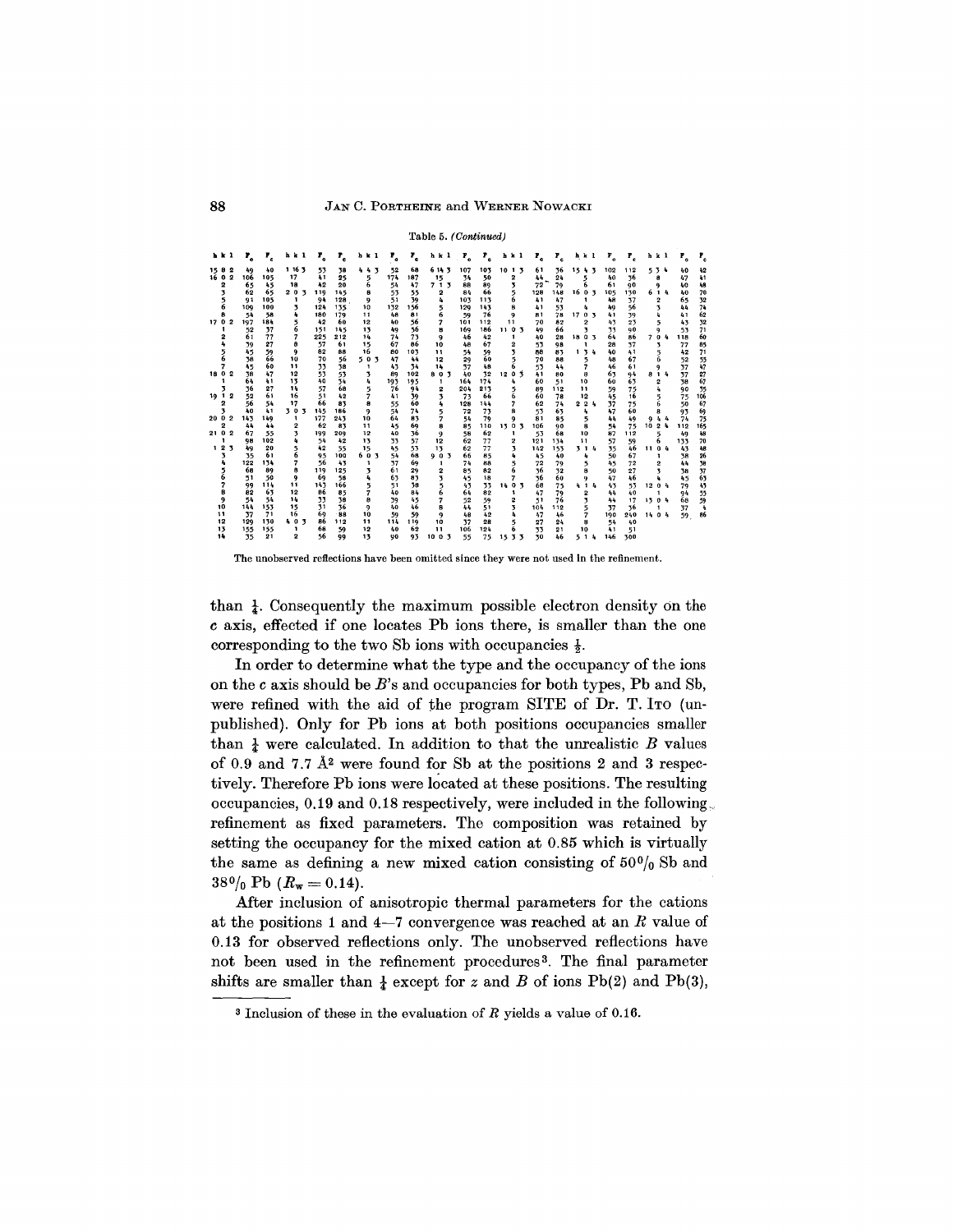#### 88 JAN C. PORTHEINE and WERNER NOWACKI

#### Table 5. *(Continued)*

|                | 1 k 1 |                         | ۲.  | $\mathbf{r}_{\rm e}$ | hkl    | т.  | ₽.  | h k 1 | ₽.  | т.  | h k l        | $\mathbf{r}_{\bullet}$ | $r_{\rm e}$ | h k l  | Τ,  | $r_{\rm c}$ | h k l                    | $F_{o}$ | ₽,       | h k l  |     | $\mathbf{r}_{\circ}$ | т.  |
|----------------|-------|-------------------------|-----|----------------------|--------|-----|-----|-------|-----|-----|--------------|------------------------|-------------|--------|-----|-------------|--------------------------|---------|----------|--------|-----|----------------------|-----|
| 158            |       | 2                       | 49  | 40                   | 1 16 3 | 53  | 38  | 443   | 52  | 68  | 6143         | 107                    | 103         | 1013   | 61  | 36          | 15 4 3                   | 102     | 112      | 534    |     | 40                   | 42  |
| 16 0           |       | 2                       | 106 | 105                  | 17     | 41  | 25  | 5     | 174 | 187 | 15           | 34                     | 50          | 2      | 44  | 24          | 5                        |         | 36<br>40 | 8      |     | 47                   | 41  |
|                | 2     |                         | 65  | 45                   | 18     | 42  | 20  | 6     | 54  | 47  | 713          | 88                     | 89          | 3      | 72  | 79          | 6                        | 61      | 90       | ۰      |     | 40                   | 48  |
|                | 3     |                         | 62  | 65                   | 203    | 119 | 145 | 8     | 53  | 55  | 2            | 84                     | 66          | 5      | 128 | 148         | 1603                     | 105     | 130      | 614    |     | 40                   | 70  |
|                |       |                         | 91  | 105                  | 1      | 94  | 128 | 9     | 51  | 39  | 4            | 103                    | 113         | 6      | 41  | 47          |                          |         | 48<br>37 | 2      |     | 65                   | 32  |
|                | 6     |                         | 109 | 100                  | 3      | 124 | 135 | 10    | 132 | 156 | 5            | 129                    | 143         | 8      | 41  | 53          | 4                        | 49      | - 6      | 3      |     | 44                   | 74  |
|                | 8     |                         | 54  | 58                   | ۰      | 180 | 179 | 11    | 48  | 81  | 6            | 59                     | 76          | 9      | 81  | 78          | 17 0 3                   |         | 39<br>41 | ı.     |     | 41                   | 62  |
| 17 0 2         |       |                         | 197 | 184                  | 5      | 42  | 60  | 12    | 40  | 56  | 7            | 101                    | 112         | 11     | 70  | 82          | 2                        |         | 23<br>43 | 5      |     | 43                   | 32  |
|                |       |                         | 52  | 37                   | 6      | 151 | 145 | 13    | 49  | 56  | 8            | 169                    | 186         | 1103   | 49  | 66          | 3                        |         | 33<br>90 | 9      |     | 53                   | 71  |
|                | 2     |                         | 61  | 77                   | 7      | 225 | 212 | 14    | 74  | 73  | 9            | 46                     | 42          | 1      | 40  | 28          | 1803                     | 64      | 86       | 704    |     | 118                  | 60  |
|                | 4     |                         | 39  | 27                   | 8      | 57  | 61  | 15    | 67  | 86  | 10           | 48                     | 67          | 2      | 53  | 98          | 1                        |         | 37<br>28 | 3      |     | 77                   | 85  |
|                | 5     |                         | 45  | 59                   | 9      | 82  | 88  | 16    | 80  | 103 | $\mathbf{1}$ | 54                     | 59          | 3      | 88  | 83          | 134                      |         | 40<br>41 | 5      |     | 42                   | 71  |
|                | 6     |                         | 38  | 66                   | 10     | 70  | 56  | 503   | 47  | 44  | 12           | 29                     | 60          | 5      | 70  | 88          | 5                        |         | 67<br>48 | 6      |     | 52                   | 55  |
|                | 7     |                         | 45  | 60                   | 11     | 33  | 38  | л.    | 43  | 34  | 14           | 37                     | 48          |        | 53  | 44          | $\overline{\phantom{a}}$ |         | 46<br>61 | 9      |     | 37                   | 47  |
| 18 0 2         |       |                         | 38  | 47                   | 12     | 53  | 53  | 3     | 89  | 102 | 803          | 40                     | 32          | 1203   | 41  | 80          | 8                        |         | 63<br>94 | 814    |     | 37                   | 27  |
|                | 1     |                         | 64  | 41                   | 13     | 40  | 34  | 4     | 193 | 195 | 1            | 164                    | 174         | 4      | 60  | 51          | 10                       |         | 63<br>60 | 2      |     | 38                   | 67  |
|                | 3.    |                         | 36  | 27                   | 14     | 57  | 68  | 5     | 76  | 94  | 2            | 204                    | 213         | 5      | 89  | 112         | 11                       |         | 59<br>75 | 4      |     | 90                   | 35  |
| 19 1 2         |       |                         | 52  | 61                   | 16     | 51  | 42  | 7     | 41  | 39  | 7            | 73                     | 66          | 6      | 60  | 78          | 12                       |         | 45<br>16 | 5      |     | 75                   | 106 |
|                | 2     |                         | 56  | 54                   | 17     | 66  | 83  | я     | 55  | 60  | 4            | 128                    | 144         |        | 62  | 74          | 224                      | 37      | 75       | 6      |     | 50                   | 67  |
|                | 3     |                         | 40  | 41                   | 303    | 145 | 166 | 9     | 54  | 74  | 5            | 72                     | 73          | 8      | 53  | 63          | 4                        |         | 47<br>60 | 8      |     | 93                   | 69  |
| 20 0 2         |       |                         | 145 | 149                  | 1      | 177 | 245 | 10    | 64  | 83  | 7            | 54                     | 79          | q      | 81  | 85          | 5                        |         | 44<br>49 |        | 944 | 74                   | 75  |
|                | 2     |                         | 44  | 44                   | 2      | 62  | 83  | 11    | 45  | 69  | 8            | 85                     | 110         | 13 0 3 | 106 | 90          | 8                        |         | 54<br>75 | 1024   |     | 112                  | 165 |
| 21 0           |       | $\overline{\mathbf{2}}$ | 67  | 55                   | 3      | 199 | 209 | 12    | 40  | 36  | 9            | 58                     | 62          | 1      | 53  | 68          | 10                       | 87      | 112      | 5      |     | 49                   | 48  |
|                | 1     |                         | 98  | 102                  | 4      | 54  | 42  | 13    | 33  | 57  | 12           | 62                     | 77          | 2      | 121 | 154         | 11                       | 57      | 59       | 6      |     | 133                  | 70  |
| 1 <sub>2</sub> |       | з                       | 49  | 20                   | 5      | 42  | 55  | 15    | 45  | 53  | 13           | 62                     | 77          | 3      | 142 | 153         | 314                      |         | 46<br>35 | 1104   |     | 45                   | 48  |
|                | 3     |                         | 35  | 61                   | 6      | 95  | 100 | 603   | 54  | 68  | 903          | 66                     | 85          | ٠      | 45  | 40          | 4                        |         | 67<br>50 | 1.     |     | 38                   | 26  |
|                |       |                         | 122 | 134                  | 7      | 56  | 43  | 1     | 37  | 69  | 1            | 74                     | 88          | 5      | 72  | 79          | 5.                       |         | 72<br>45 | 2      |     | 44                   | 38  |
|                |       |                         | 68  | 89                   | 8      | 119 | 125 | 3     | 61  | 29  | 2            | 85                     | 82          |        | 36  | 32          | 8                        |         | 27<br>50 | 3      |     | 38                   | 37  |
|                | 6     |                         | -51 | 50                   | 9      | 69  | 58  | 4     | 63  | 93  | 3            | 45                     | 18          | 7      | -16 | 60          | 9                        |         | 47<br>46 | ۰      |     | 45                   | 63  |
|                | 7     |                         | 99  | 114                  | 11     | 143 | 166 | 5     | 51  | 38  | 5            | 43                     | 33          | 1403   | 68  | 75          | 414                      |         | 43<br>53 | 12 0 4 |     | 79                   | 43  |
|                | 8     |                         | 82  | 63                   | 12     | 86  | 85  |       | 40  | 84  | 6            | 64                     | 82          | 1      | 47  | 79          | 2                        |         | 44<br>40 | 1      |     | 94                   | 55  |
|                | 9     |                         | 54  | 54                   | 14     | 33  | 38  | 8     | 39  | 45  | 7            | 52                     | 59          | 2      | 51  | 76          | 3                        |         | 17<br>44 | 1304   |     | 68                   | 59  |
|                | 10    |                         | 144 | 153                  | 15     | 31  | 36  | 9     | 40  | 46  | 8            | 44                     | 51          | 7      | 104 | 112         | 5                        | 37      | 36       |        |     | 37                   |     |
|                | 11    |                         | 37  | 71                   | 16     | 69  | -88 | 10    | 59  | 59  | 9            | 48                     | 42          |        | 47  | 46          | 7                        | 190     | 240      | 1404   |     | 59                   | 86  |
|                | 12    |                         | 129 | 130                  | 403    | 86  | 112 | 11    | 114 | 119 | 10           | 37                     | 28          | 5      | 27  | 24          | 8                        |         | 54<br>40 |        |     |                      |     |
|                | 13    |                         | 155 | 155                  | 1      | 68  | 59  | 12    | 40  | 62  | 11           | 106                    | 124         | 6      | 33  | 21          | 10                       | 41      | 51       |        |     |                      |     |
|                | 14    |                         | 35  | 21                   | 2      | 56  | 99  | 13    | 90  | 93  | 1003         | 55                     | 75          | 15 3 3 | 30  | 46          | 514                      | 146     | 300      |        |     |                      |     |

The unobserved reflections have been omitted since they were not used in the refinement.

than  $\frac{1}{4}$ . Consequently the maximum possible electron density on the *c* axis, effected if one locates Pb ions there, is smaller than the one corresponding to the two Sb ions with occupancies  $\frac{1}{2}$ .

In order to determine what the type and the occupancy of the ions on the *c* axis should be *B's* and occupancies for both types, Pb and Sb, were refined with the aid of the program SITE of Dr. T. ITO (unpublished). Only for Pb ions at both positions occupancies smaller than  $\frac{1}{4}$  were calculated. In addition to that the unrealistic *B* values of 0.9 and 7.7  $\AA^2$  were found for Sb at the positions 2 and 3 respectively. Therefore Pb ions were located at these positions. The resulting occupancies, 0.19 and 0.18 respectively, were included in the following. refinement as fixed parameters. The composition was retained by setting the occupancy for the mixed cation at 0.85 which is virtually the same as defining a new mixed cation consisting of  $50\%$  Sb and  $38\frac{0}{0}$  Pb  $(R_w = 0.14)$ .

Mter inclusion of anisotropic thermal parameters for the cations at the positions 1 and 4-7 convergence was reached at an *R* value of 0.13 for observed reflections only. The unobserved reflections have not been used in the refinement procedures<sup>3</sup>. The final parameter shifts are smaller than  $\frac{1}{4}$  except for *z* and *B* of ions Pb(2) and Pb(3),

<sup>3</sup> Inclusion of these in the evaluation of *R* yields a value of 0.16.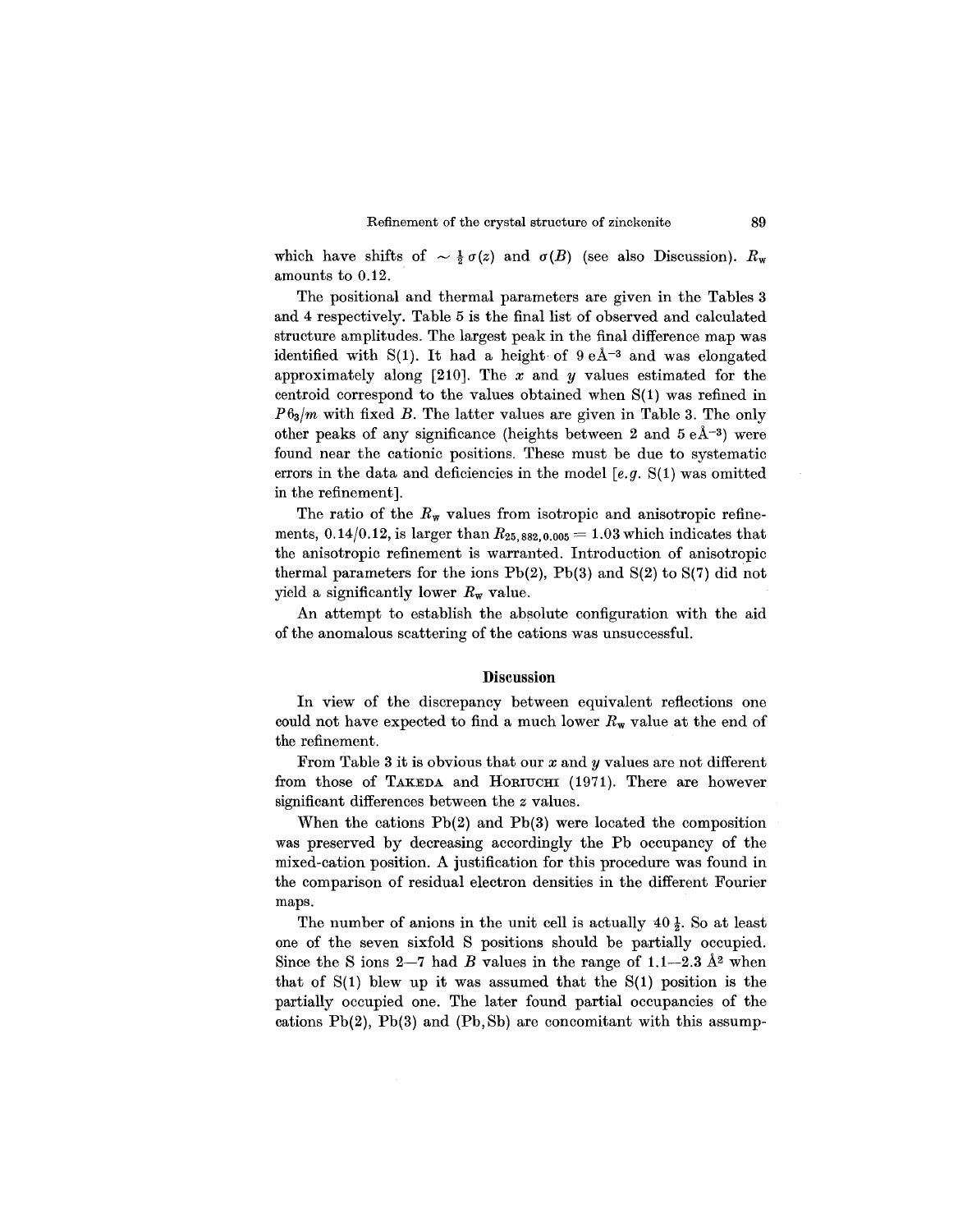which have shifts of  $\sim \frac{1}{2} \sigma(z)$  and  $\sigma(B)$  (see also Discussion).  $R_w$ amounts to 0.12.

The positional and thermal parameters are given in the Tables 3 and 4 respectively. Table 5 is the final list of observed and calculated structure amplitudes. The largest peak in the final difference map was identified with S(1). It had a height of  $9 e \AA^{-3}$  and was elongated approximately along [210]. The *x* and *y* values estimated for the centroid correspond to the values obtained when S(l) was refined in *P63/m* with fixed *B.* The latter values are given in Table 3. The only other peaks of any significance (heights between 2 and  $5 e \AA^{-3}$ ) were found near the cationic positions. These must be due to systematic errors in the data and deficiencies in the model [e.g. S(1) was omitted in the refinement].

The ratio of the  $R_w$  values from isotropic and anisotropic refinements, 0.14/0.12, is larger than  $R_{25,882,0.005} = 1.03$  which indicates that the anisotropic refinement is warranted. Introduction of anisotropic thermal parameters for the ions  $Pb(2)$ ,  $Pb(3)$  and  $S(2)$  to  $S(7)$  did not yield a significantly lower *Rw* value.

An attempt to establish the absolute configuration with the aid of the anomalous scattering of the cations was unsuccessful.

#### **Discussion**

In view of the discrepancy between equivalent reflections one could not have expected to find a much lower  $R_w$  value at the end of the refinement.

From Table 3 it is obvious that our *x* and *y* values are not different from those of TAKEDA and HORIUCHI (1971). There are however significant differences between the *z* values.

When the cations Pb(2) and Pb(3) were located the composition was preserved by decreasing accordingly the Pb occupancy of the mixed-cation position. A justification for this procedure was found in the comparison of residual electron densities in the different Fourier maps.

The number of anions in the unit cell is actually  $40\frac{1}{2}$ . So at least one of the seven sixfold S positions should be partially occupied. Since the S ions  $2-7$  had *B* values in the range of  $1.1-2.3$   $\AA$ <sup>2</sup> when that of  $S(1)$  blew up it was assumed that the  $S(1)$  position is the partially occupied one. The later found partial occupancies of the cations  $Pb(2)$ ,  $Pb(3)$  and  $(Pb, Sb)$  are concomitant with this assump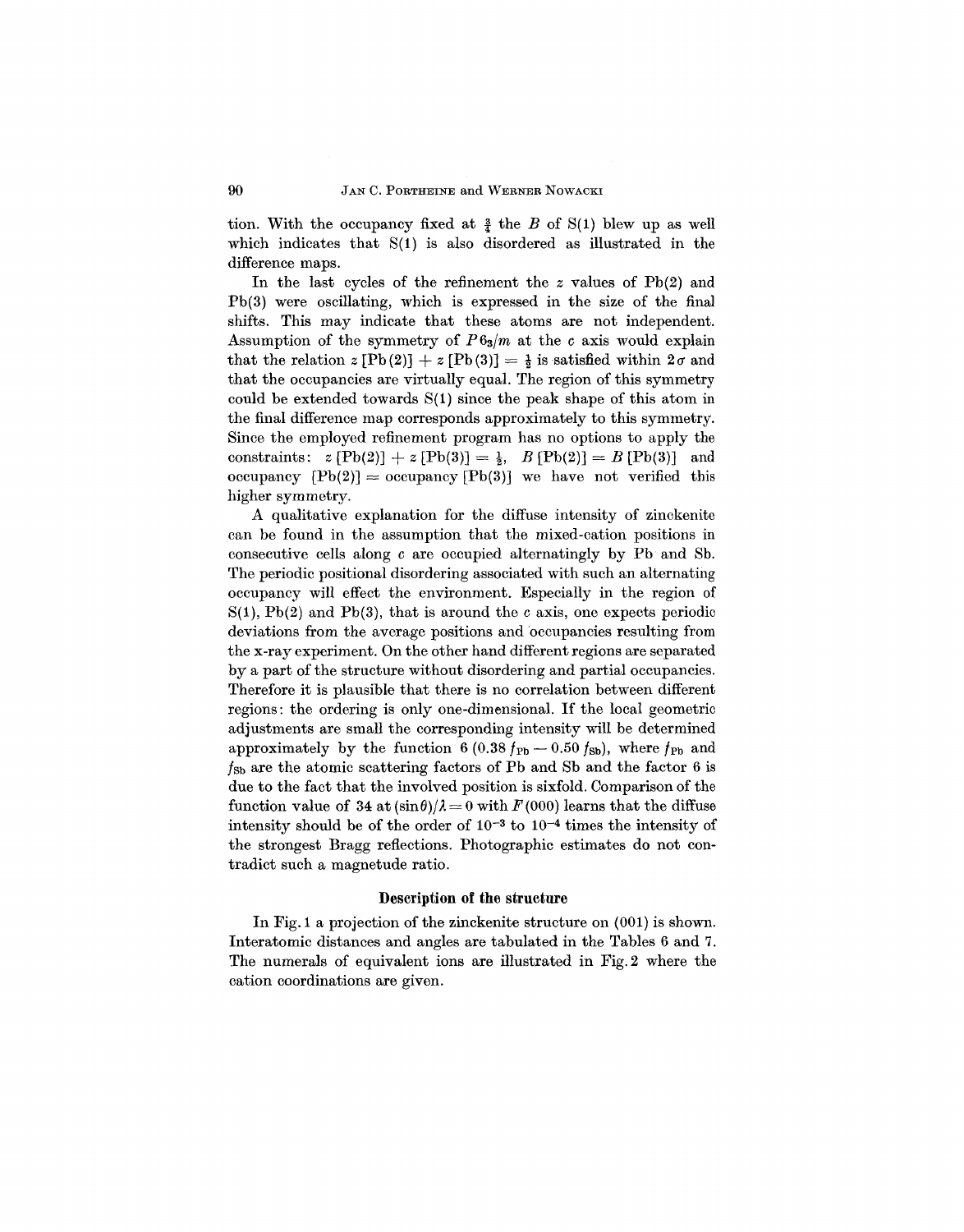tion. With the occupancy fixed at  $\frac{3}{4}$  the *B* of S(1) blew up as well which indicates that  $S(1)$  is also disordered as illustrated in the difference maps.

In the last cycles of the refinement the *z* values of Pb(2) and Pb(3) were oscillating, which is expressed in the size of the final shifts. This may indicate that these atoms are not independent. Assumption of the symmetry of  $P6_3/m$  at the *c* axis would explain that the relation  $z [Pb(2)] + z [Pb(3)] = \frac{1}{2}$  is satisfied within  $2\sigma$  and that the occupancies are virtually equal. The region of this symmetry could be extended towards  $S(1)$  since the peak shape of this atom in the final difference map corresponds approximately to this symmetry. Since the employed refinement program has no options to apply the constraints:  $z [Pb(2)] + z [Pb(3)] = \frac{1}{2}$ ,  $B [Pb(2)] = B [Pb(3)]$  and occupancy  $[Pb(2)] =$  occupancy  $[Pb(3)]$  we have not verified this higher symmetry.

A qualitative explanation for the diffuse intensity of zinckenite can be found in the assumption that the mixed-cation positions in consecutive cells along c are occupied alternatingly by Pb and Sb. The periodic positional disordering associated with such an alternating occupancy will effect the environment. Especially in the region of  $S(1)$ , Pb(2) and Pb(3), that is around the *c* axis, one expects periodic deviations from the average positions and occupancies resulting from the x-ray experiment. On the other hand different regions are separated by a part of the structure without disordering and partial occupancies. Therefore it is plausible that there is no correlation between different regions: the ordering is only one-dimensional. If the local geometric adjustments are small the corresponding intensity will be determined approximately by the function 6 (0.38  $f_{\text{Pb}}$  - 0.50  $f_{\text{Sb}}$ ), where  $f_{\text{Pb}}$  and  $f_{\rm Sb}$  are the atomic scattering factors of Pb and Sb and the factor 6 is due to the fact that the involved position is sixfold. Comparison of the function value of 34 at  $(\sin \theta)/\lambda = 0$  with  $F(000)$  learns that the diffuse intensity should be of the order of  $10^{-3}$  to  $10^{-4}$  times the intensity of the strongest Bragg reflections. Photographic estimates do not contradict such a magnetude ratio.

#### Description of the structure

In Fig. 1 a projection of the zinckenite structure on (001) is shown. Interatomic distances and angles are tabulated in the Tables 6 and 7. The numerals of equivalent ions are illustrated in Fig.2 where the cation coordinations are given.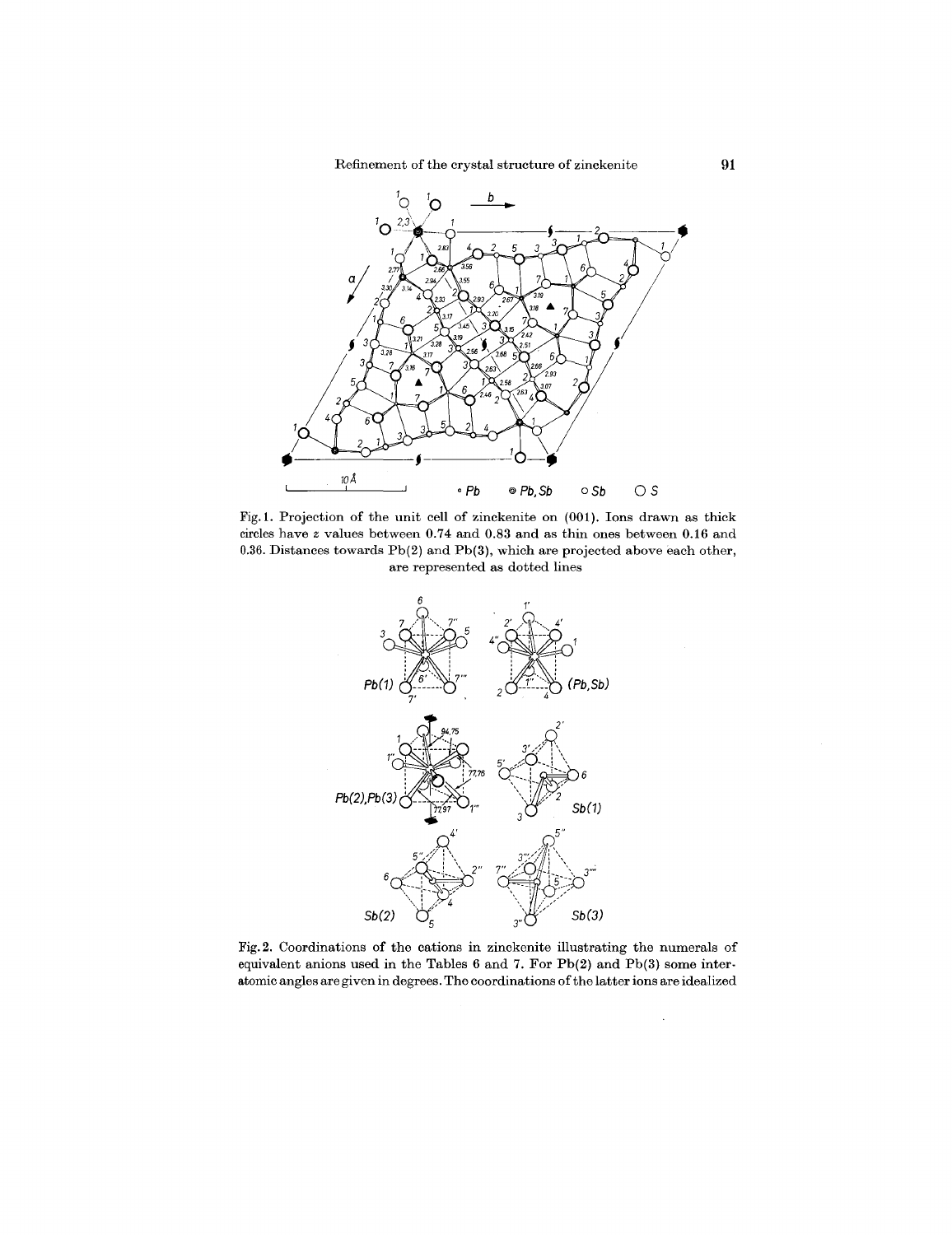

Fig. 1. Projection of the unit cell of zinckenite on (001). Ions drawn as thick circles have *z* values between 0.74 and 0.83 and as thin ones between 0.16 and 0.36. Distances towards Pb(2) and Pb(3), which are projected above each other, are represented as dotted lines



Fig. 2. Coordinations of the cations in zinckenite illustrating the numerals of equivalent anions used in the Tables 6 and 7. For Pb(2) and Pb(3) some interatomic angles are given in degrees. The coordinations of the latter ions are idealized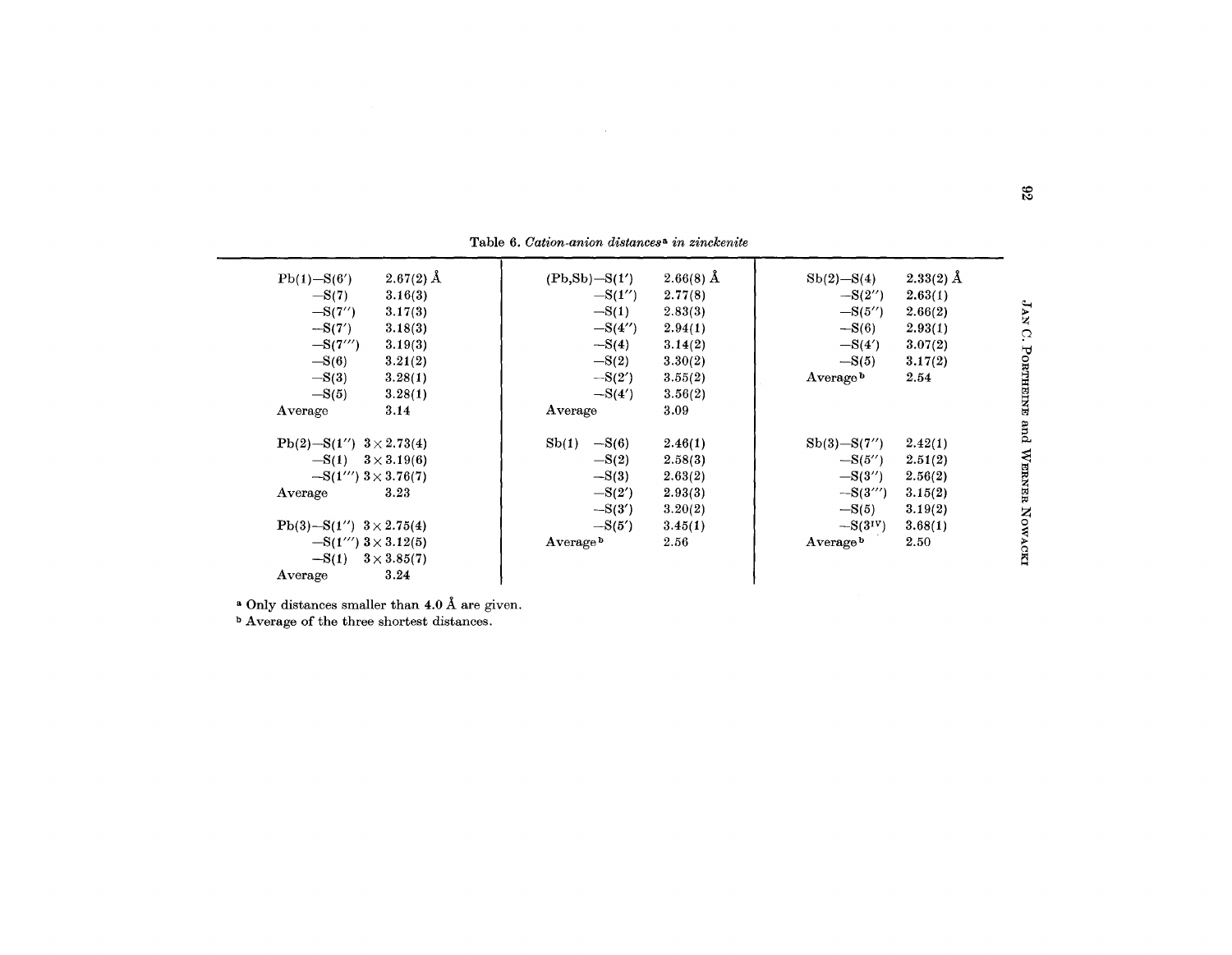| $2.67(2)$ Å<br>$Pb(1) - S(6')$<br>$-S(7)$<br>3.16(3)<br>$-S(7'')$<br>3.17(3)<br>$-S(7')$<br>3.18(3)<br>$-S(7''')$<br>3.19(3)<br>$-S(6)$<br>3.21(2)<br>$-S(3)$<br>3.28(1)<br>$-S(5)$<br>3.28(1)<br>3.14 | $(Pb, Sb) - S(1')$<br>$-S(1'')$<br>$-S(1)$<br>$-S(4'')$<br>$-S(4)$<br>$-S(2)$<br>$-S(2')$<br>$-S(4')$ | $2.66(8)$ Å<br>2.77(8)<br>2.83(3)<br>2.94(1)<br>3.14(2)<br>3.30(2)<br>3.55(2)<br>3.56(2)<br>3.09 | $Sb(2)-S(4)$<br>$-S(2'')$<br>$-S(5'')$<br>$-S(6)$<br>$-S(4')$<br>$-S(5)$<br>Average <sup>b</sup> | $2.33(2)$ Å<br>2.63(1)<br>2.66(2)<br>2.93(1)<br>3.07(2)<br>3.17(2)<br>2.54 | $\mathbf{A}\mathbf{A}$<br>$\Omega$<br>PORTHEINE |
|--------------------------------------------------------------------------------------------------------------------------------------------------------------------------------------------------------|-------------------------------------------------------------------------------------------------------|--------------------------------------------------------------------------------------------------|--------------------------------------------------------------------------------------------------|----------------------------------------------------------------------------|-------------------------------------------------|
| Average<br>$Pb(2) - S(1'')$ $3 \times 2.73(4)$<br>$-S(1)$ $3 \times 3.19(6)$<br>$-S(1''')$ 3 $\times$ 3.76(7)<br>3.23<br>Average                                                                       | Average<br>$-S(6)$<br>Sb(1)<br>$-S(2)$<br>$-S(3)$<br>$-S(2')$<br>$-S(3')$                             | 2.46(1)<br>2.58(3)<br>2.63(2)<br>2.93(3)<br>3.20(2)                                              | $Sb(3)-S(7'')$<br>$-S(5'')$<br>$-S(3'')$<br>$-S(3''')$<br>$-S(5)$                                | 2.42(1)<br>2.51(2)<br>2.56(2)<br>3.15(2)<br>3.19(2)                        | pue<br>WERNER NOWACKI                           |
| $Pb(3) - S(1'')$ $3 \times 2.75(4)$<br>$-S(1''')$ $3 \times 3.12(5)$<br>$-S(1)$ $3 \times 3.85(7)$<br>3.24<br>Average                                                                                  | $-S(5')$<br>Average <sup>b</sup>                                                                      | 3.45(1)<br>2.56                                                                                  | $-S(3^{IV})$<br>Average <sup>b</sup>                                                             | 3.68(1)<br>2.50                                                            |                                                 |

Table 6. *Oation-anion distances8 in zinckenite*

 $\bullet$  Only distances smaller than 4.0 Å are given.

**b** Average of the three shortest distances.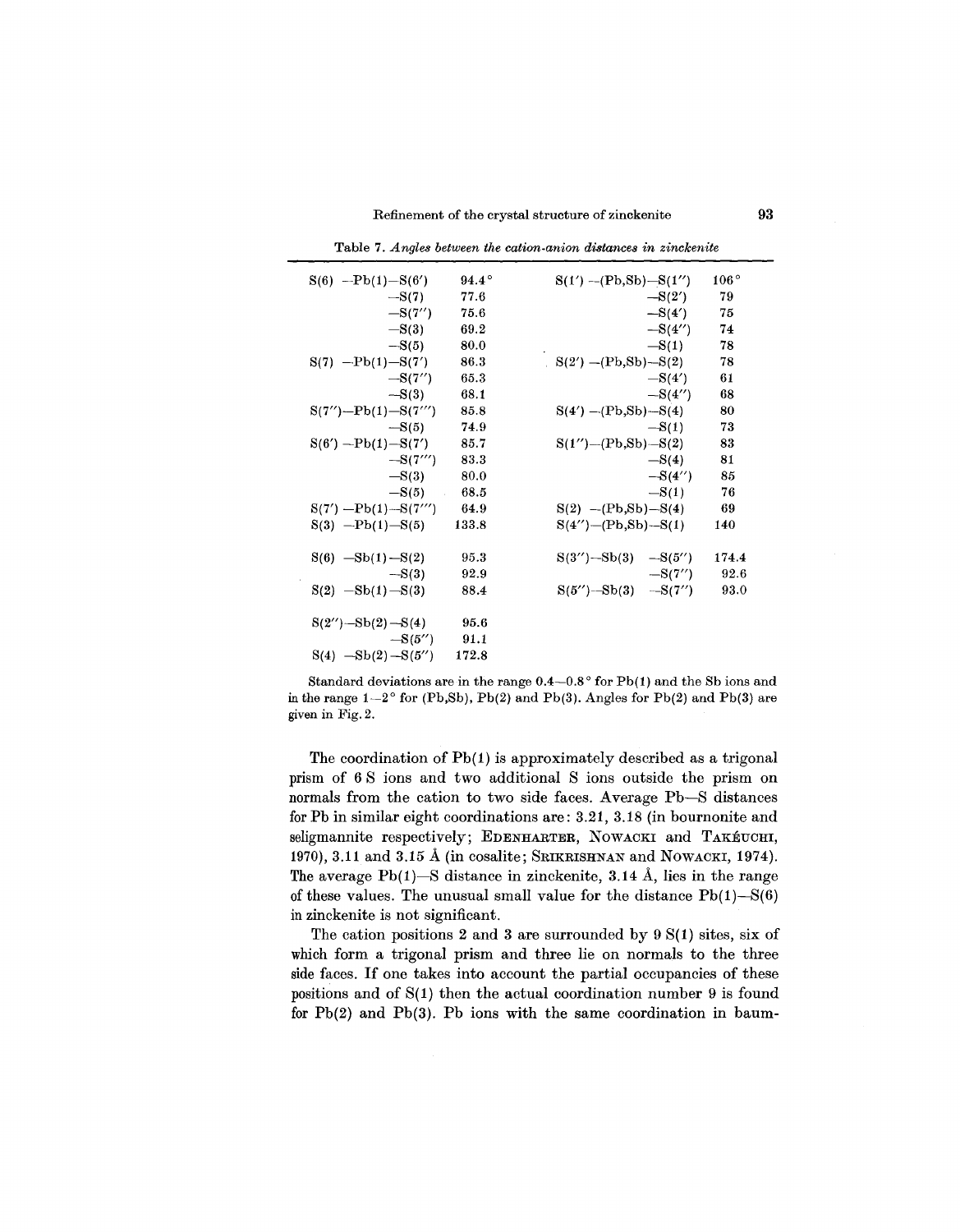Refinement of the crystal structure of zinckenite 93

| $S(6)$ --Pb(1)- $S(6')$    | $94.4^\circ$ | $S(1') - (Pb, Sb) - S(1'')$ | $106^{\circ}$ |
|----------------------------|--------------|-----------------------------|---------------|
| $-S(7)$                    | 77.6         | $-S(2')$                    | 79            |
| $-S(7'')$                  | 75.6         | $-S(4')$                    | 75            |
| $-S(3)$                    | 69.2         | $-S(4'')$                   | 74            |
| $-S(5)$                    | 80.0         | $-S(1)$                     | 78            |
| $S(7)$ $-Pb(1) - S(7')$    | 86.3         | $S(2') - (Pb, Sb) - S(2)$   | 78            |
| $-S(7'')$                  | 65.3         | $-S(4')$                    | 61            |
| $-S(3)$                    | 68.1         | $-S(4'')$                   | 68            |
| $S(7'') - Pb(1) - S(7''')$ | 85.8         | $S(4') - (Pb, Sb) - S(4)$   | 80            |
| $-S(5)$                    | 74.9         | $-S(1)$                     | 73            |
| $S(6')$ --Pb(1)- $S(7')$   | 85.7         | $S(1'') - (Pb, Sb) - S(2)$  | 83            |
| $-S(7''')$                 | 83.3         | $-S(4)$                     | 81            |
| $-S(3)$                    | 80.0         | $-S(4'')$                   | 85            |
| $-S(5)$ 68.5               |              | $-S(1)$                     | 76            |
| $S(7') - Pb(1) - S(7'')$   | 64.9         | $S(2)$ -(Pb,Sb)-S(4)        | 69            |
| $S(3)$ --Pb(1)- $S(5)$     | 133.8        | $S(4'') - (Pb, Sb) - S(1)$  | 140           |
| $S(6)$ $-Sb(1) - S(2)$     | 95.3         | $S(3'') - Sb(3) - S(5'')$   | 174.4         |
| $-S(3)$                    | 92.9         | $-S(7'')$                   | 92.6          |
| $S(2)$ -Sb(1) -S(3)        | 88.4         | $S(5'')$ - $Sb(3)$ -S(7'')  | 93.0          |
| $S(2'') - Sb(2) - S(4)$    | 95.6         |                             |               |
| $-S(5'')$                  | 91.1         |                             |               |
| $S(4)$ $-Sb(2) - S(5'')$   | 172.8        |                             |               |

Table 7. *A ngles between the cation-anion distances in zinckenite*

Standard deviations are in the range  $0.4-0.8^{\circ}$  for Pb(1) and the Sb ions and in the range  $1-2^{\circ}$  for (Pb,Sb), Pb(2) and Pb(3). Angles for Pb(2) and Pb(3) are given in Fig. 2.

The coordination of Pb(1) is approximately described as a trigonal prism of 6 S ions and two additional S ions outside the prism on normals from the cation to two side faces. Average Pb-S distances for Pb in similar eight coordinations are: 3.21, 3.18 (in bournonite and seligmannite respectively; EDENHARTER, NOWACKI and TAKÉUCHI, 1970), 3.11 and 3.15 Å (in cosalite; SRIKRISHNAN and NOWACKI, 1974). The average  $Pb(1)$ —S distance in zinckenite, 3.14 Å, lies in the range of these values. The unusual small value for the distance  $Pb(1) - S(6)$ in zinckenite is not significant.

The cation positions 2 and 3 are surrounded by  $9 S(1)$  sites, six of which form a trigonal prism and three lie on normals to the three side faces. If one takes into account the partial occupancies of these positions and of  $S(1)$  then the actual coordination number 9 is found for Pb(2) and Pb(3). Pb ions with the same coordination in baum-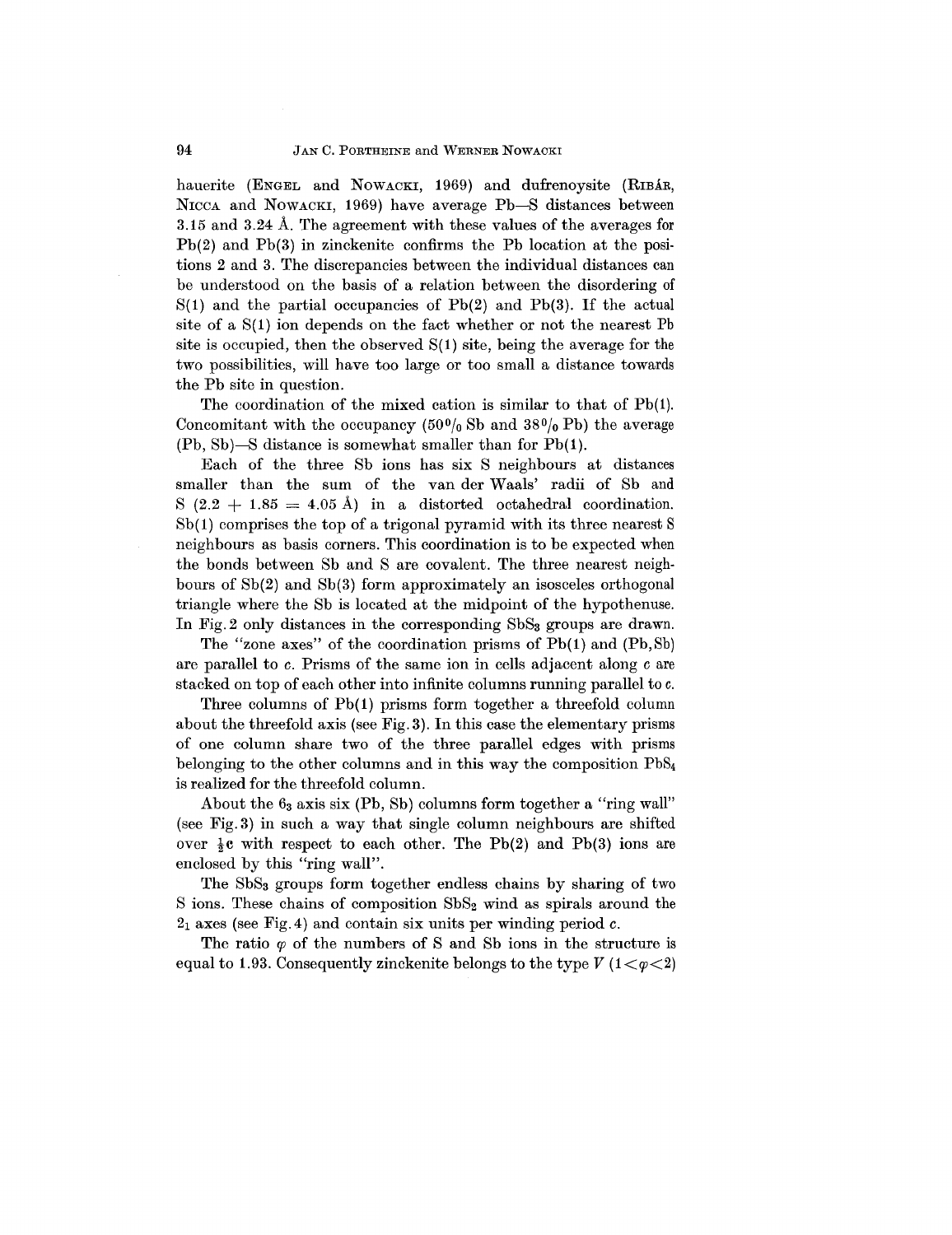hauerite (ENGEL and NOWACKI, 1969) and dufrenoysite (RIBAR, NICCA and NOWACKI, 1969) have average Pb-S distances between 3.15 and 3.24 A. The agreement with these values of the averages for Pb(2) and Pb(3) in zinckenite confirms the Pb location at the posi. tions 2 and 3. The discrepancies between the individual distances can be understood on the basis of a relation between the disordering of  $S(1)$  and the partial occupancies of Pb(2) and Pb(3). If the actual site of a  $S(1)$  ion depends on the fact whether or not the nearest Pb site is occupied, then the observed  $S(1)$  site, being the average for the two possibilities, will have too large or too small a distance towards the Pb site in question.

The coordination of the mixed cation is similar to that of Pb(l). Concomitant with the occupancy  $(50<sup>0</sup>/0)$  Sb and  $38<sup>0</sup>/0$  Pb) the average (Pb, Sb)-S distance is somewhat smaller than for Pb(1).

Each of the three Sb ions has six S neighbours at distances smaller than the sum of the van der Waals' radii of Sb and S  $(2.2 + 1.85 = 4.05 \text{ Å})$  in a distorted octahedral coordination.  $Sb(1)$  comprises the top of a trigonal pyramid with its three nearest S neighbours as basis corners. This coordination is to be expected when the bonds between Sb and S are covalent. The three nearest neighbours of Sb(2) and Sb(3) form approximately an isosceles orthogonal triangle where the Sb is located at the midpoint of the hypothenuse. In Fig. 2 only distances in the corresponding SbS<sub>3</sub> groups are drawn.

The "zone axes" of the coordination prisms of Pb(1) and (Pb,Sb) are parallel to *c.* Prisms of the same ion in cells adjacent along care stacked on top of each other into infinite columns running parallel to c.

Three columns of Pb(1) prisms form together a threefold column about the threefold axis (see Fig. 3). In this case the elementary prisms of one column share two of the three parallel edges with prisms belonging to the other columns and in this way the composition PbS4 is realized for the threefold column.

About the  $6<sub>3</sub>$  axis six (Pb, Sb) columns form together a "ring wall" (see Fig. 3) in such a way that single column neighbours are shifted over  $\frac{1}{2}c$  with respect to each other. The Pb(2) and Pb(3) ions are enclosed by this "ring wall".

The SbS3 groups form together endless chains by sharing of two S ions. These chains of composition SbS<sub>2</sub> wind as spirals around the 21 axes (see Fig. 4) and contain six units per winding period *c.*

The ratio  $\varphi$  of the numbers of S and Sb ions in the structure is equal to 1.93. Consequently zinckenite belongs to the type  $V(1 < \varphi < 2)$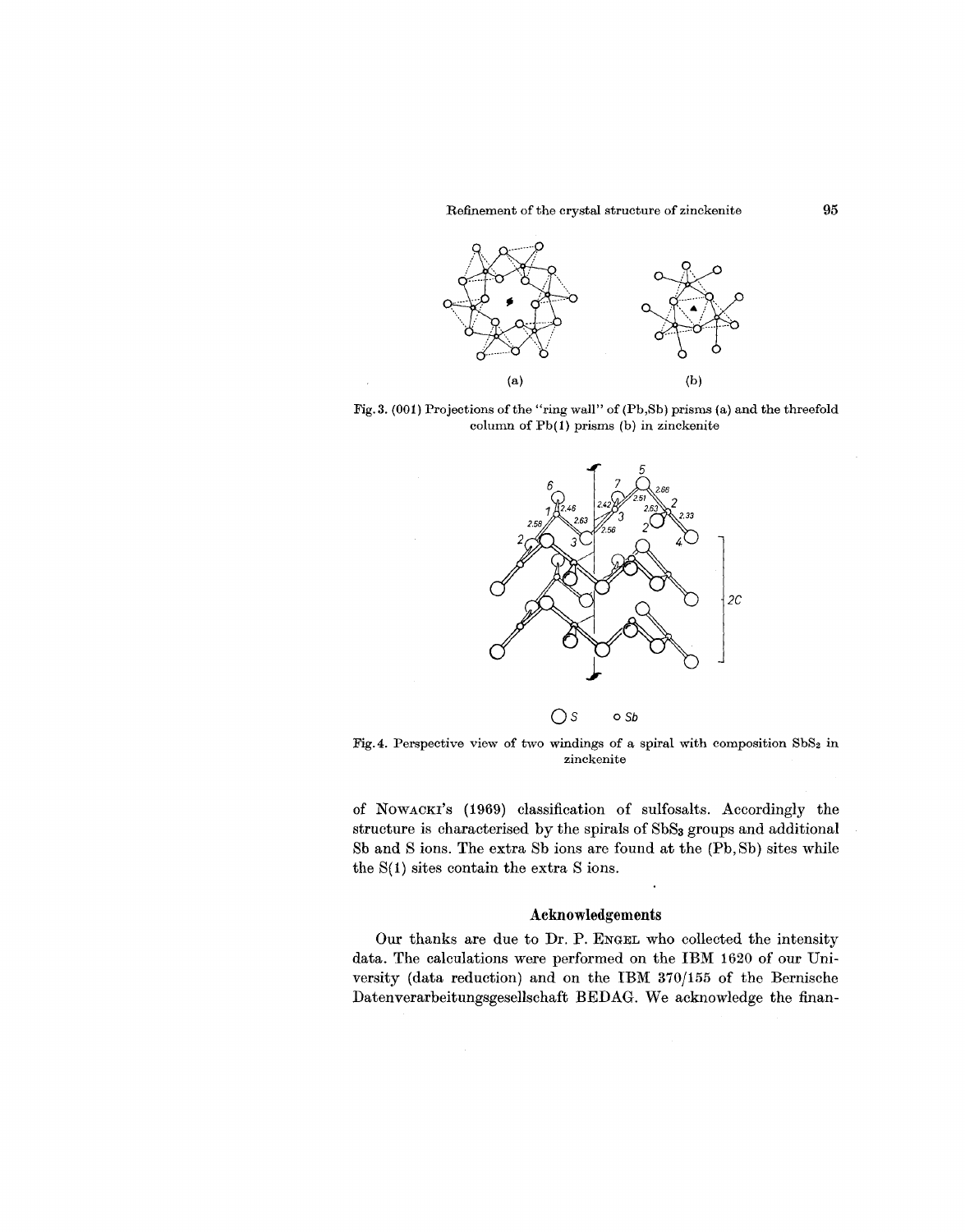

Fig. 3. (001) Projections of the "ring wall" of (Pb,Sb) prisms (a) and the threefold column of Pb(1) prisms (b) in zinckenite



Os *oSb*

Fig. 4. Perspective view of two windings of a spiral with composition  $SbS<sub>2</sub>$  in zinckenite

of NOWACKI'S (1969) classification of sulfosalts. Accordingly the structure is characterised by the spirals of SbSa groups and additional Sb and S ions. The extra Sb ions are found at the (Pb, Sb) sites while the  $S(1)$  sites contain the extra S ions.

### Acknowledgements

Our thanks are due to Dr. P. ENGEL who collected the intensity data. The calculations were performed on the IBM 1620 of our University (data reduction) and on the IBM 370/155 of the Bernische Datenverarbeitungsgesellschaft BEDAG. We acknowledge the finan